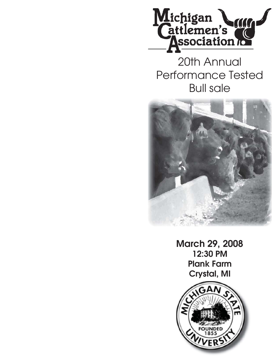

20th Annual Performance Tested Bull sale



**March 29, 2008 12:30 PM Plank Farm Crystal, MI**

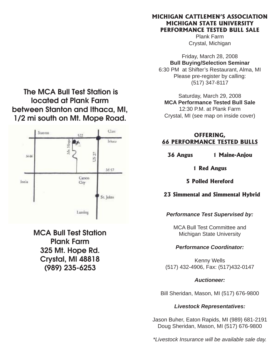### **MICHIGAN CATTLEMEN'S ASSOCIATION MICHIGAN STATE UNIVERSITY PERFORMANCE TESTED BULL SALE**

Plank Farm Crystal, Michigan

Friday, March 28, 2008 **Bull Buying/Selection Seminar** 6:30 PM at Shifter's Restaurant, Alma, MI Please pre-register by calling: (517) 347-8117

Saturday, March 29, 2008 **MCA Performance Tested Bull Sale** 12:30 P.M. at Plank Farm Crystal, MI (see map on inside cover)

### **OFFERING, 66 PERFORMANCE TESTED BULLS**

**36 Angus 1 Maine-Anjou**

**1 Red Angus** 

**5 Polled Hereford**

### **23 Simmental and Simmental Hybrid**

### *Performance Test Supervised by:*

MCA Bull Test Committee and Michigan State University

### *Performance Coordinator:*

Kenny Wells (517) 432-4906, Fax: (517)432-0147

### *Auctioneer:*

Bill Sheridan, Mason, MI (517) 676-9800

### *Livestock Representatives:*

Jason Buher, Eaton Rapids, MI (989) 681-2191 Doug Sheridan, Mason, MI (517) 676-9800

*\*Livestock Insurance will be available sale day.*

**The MCA Bull Test Station is located at Plank Farm between Stanton and Ithaca, MI, 1/2 mi south on Mt. Mope Road.**



**MCA Bull Test Station Plank Farm 325 Mt. Hope Rd. Crystal, MI 48818 (989) 235-6253**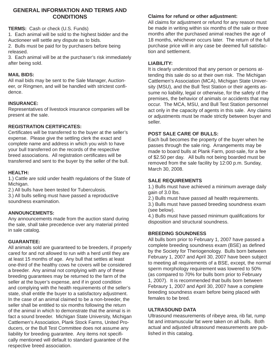### **GENERAL INFORMATION AND TERMS AND CONDITIONS**

**TERMS:** Cash or check (U.S. Funds)

1. Each animal will be sold to the highest bidder and the Auctioneer will settle any dispute as to bids.

2. Bulls must be paid for by purchasers before being released.

3. Each animal will be at the purchaser's risk immediately after being sold.

### **MAIL BIDS:**

All mail bids may be sent to the Sale Manager, Auctioneer, or Ringmen, and will be handled with strictest confidence.

### **INSURANCE:**

Representatives of livestock insurance companies will be present at the sale.

### **REGISTRATION CERTIFICATES:**

Certificates will be transferred to the buyer at the seller's expense. Please give the settling clerk the exact and complete name and address in which you wish to have your bull transferred on the records of the respective breed associations. All registration certificates will be transferred and sent to the buyer by the seller of the bull.

### **HEALTH:**

1.) Cattle are sold under health regulations of the State of Michigan.

2.) All bulls have been tested for Tuberculosis.

3.) All bulls selling must have passed a reproductive soundness examination.

### **ANNOUNCEMENTS:**

Any announcements made from the auction stand during the sale, shall take precedence over any material printed in sale catalog.

### **GUARANTEE:**

All animals sold are guaranteed to be breeders, if properly cared for and not allowed to run with a herd until they are at least 15 months of age. Any bull that settles at least one-third of the healthy cows he covers will be considered a breeder. Any animal not complying with any of these breeding guarantees may be returned to the farm of the seller at the buyer's expense, and if in good condition and complying with the health requirements of the seller's state, shall entitle the buyer to a satisfactory adjustment. In the case of an animal claimed to be a non-breeder, the seller shall be entitled to six months following the return of the animal in which to demonstrate that the animal is in fact a sound breeder. Michigan State University, Michigan Cattlemen's Association, Plank Stock Farms, United Producers, or the Bull Test Committee does not assume any liability for breeding guarantee. Any items not specifically mentioned will default to standard guarantee of the respective breed association.

### **Claims for refund or other adjustment:**

All claims for adjustment or refund for any reason must be made in writing within six months of the sale or three months after the purchased animal reaches the age of 18 months, whichever occurs later. The return of the full purchase price will in any case be deemed full satisfaction and settlement.

### **LIABILITY:**

It is clearly understood that any person or persons attending this sale do so at their own risk. The Michigan Cattlemen's Association (MCA), Michigan State University (MSU), and the Bull Test Station or their agents assume no liability, legal or otherwise, for the safety of the premises, the behavior of animals or accidents that may occur. The MCA, MSU, and Bull Test Station personnel act only in the capacity of agents in this sale. Any claims or adjustments must be made strictly between buyer and seller.

### **POST SALE CARE OF BULLS:**

Each bull becomes the property of the buyer when he passes through the sale ring. Arrangements may be made to board bulls at Plank Farm, post-sale, for a fee of \$2.50 per day. All bulls not being boarded must be removed from the sale facility by 12:00 p.m. Sunday, March 30, 2008.

### **SALE REQUIREMENTS**

1.) Bulls must have achieved a minimum average daily gain of 3.0 lbs.

2.) Bulls must have passed all health requirements.

3.) Bulls must have passed breeding soundness exam (see below).

4.) Bulls must have passed minimum qualifications for disposition and structural soundness.

### **BREEDING SOUNDNESS**

All bulls born prior to February 1, 2007 have passed a complete breeding soundness exam (BSE) as defined by the Society for Theriogenology. Bulls born between February 1, 2007 and April 30, 2007 have been subject to meeting all requirements of a BSE, except, the normal sperm morphology requirement was lowered to 50% (as compared to 70% for bulls born prior to February 1, 2007). It is recommended that bulls born between Febraury 1, 2007 and April 30, 2007 have a complete breeding soundness exam before being placed with females to be bred.

### **ULTRASOUND DATA**

Ultrasound measurements of ribeye area, rib fat, rump fat and intramuscular fat were taken on all bulls. Both actual and adjusted ultrasound measurements are published in this catalog.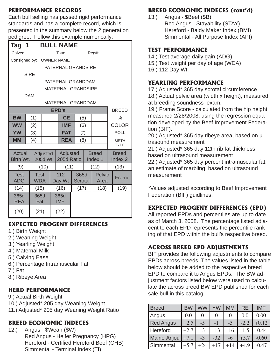## **PERFORMANCE RECORDS**

Each bull selling has passed rigid performance standards and has a complete record, which is presented in the summary below the 2 generation pedigree. Follow this example numerically:

| r - - - - - - - -         |                    |             |                   |  |                   |  |                |  |               |             |                    |  |
|---------------------------|--------------------|-------------|-------------------|--|-------------------|--|----------------|--|---------------|-------------|--------------------|--|
| Tag 1                     |                    |             |                   |  | <b>BULL NAME</b>  |  |                |  |               |             |                    |  |
| Calved:                   |                    |             |                   |  | Tatto:            |  |                |  | Reg#:         |             |                    |  |
| Consigned by:             |                    |             |                   |  | <b>OWNER NAME</b> |  |                |  |               |             |                    |  |
|                           | PATERNAL GRANDSIRE |             |                   |  |                   |  |                |  |               |             |                    |  |
| <b>SIRE</b>               |                    |             |                   |  |                   |  |                |  |               |             |                    |  |
|                           |                    |             |                   |  | PATERNAL GRANDDAM |  |                |  |               |             |                    |  |
| <b>MATERNAL GRANDSIRE</b> |                    |             |                   |  |                   |  |                |  |               |             |                    |  |
| <b>DAM</b>                |                    |             |                   |  |                   |  |                |  |               |             |                    |  |
| MATERNAL GRANDDAM         |                    |             |                   |  |                   |  |                |  |               |             |                    |  |
| <b>EPD's</b>              |                    |             |                   |  |                   |  |                |  |               |             | <b>BREED</b>       |  |
| <b>BW</b>                 |                    | (1)         |                   |  | <b>CE</b>         |  | (5)            |  |               |             | $\%$               |  |
| <b>WW</b>                 |                    | (2)         |                   |  | <b>IMF</b>        |  | (6)            |  |               |             | <b>COLOR</b>       |  |
| <b>YW</b>                 |                    | (3)         | <b>FAT</b><br>(7) |  |                   |  |                |  |               | <b>POLL</b> |                    |  |
| <b>MM</b>                 |                    | (4)         |                   |  | <b>REA</b>        |  | (8)            |  |               |             | <b>BIRTH</b>       |  |
|                           |                    |             |                   |  |                   |  |                |  |               |             | <b>TYPE</b>        |  |
| Actual                    |                    |             | Adjusted          |  | Adjusted          |  |                |  | <b>Breed</b>  |             | <b>Breed</b>       |  |
| Birth Wt.                 |                    |             | 205d Wt           |  | 205d Ratio        |  |                |  | Index 1       |             | Index <sub>2</sub> |  |
| (9)                       |                    |             | (10)              |  | (11)              |  |                |  | (12)          |             | (13)               |  |
| <b>Test</b>               |                    | <b>Test</b> |                   |  | 112               |  | 365d           |  | <b>Pelvic</b> |             |                    |  |
| <b>ADG</b>                |                    | <b>WDA</b>  |                   |  | Day Wt            |  | <b>Scrotal</b> |  | Area          |             | Frame              |  |
| (14)                      |                    | (15)        |                   |  | (16)              |  | (17)           |  | (18)          |             | (19)               |  |
| 365d                      |                    | 365d        |                   |  | 365d              |  |                |  |               |             |                    |  |
| <b>REA</b>                |                    | Fat         |                   |  | <b>IMF</b>        |  |                |  |               |             |                    |  |
| (20)                      |                    | (21)        |                   |  | (22)              |  |                |  |               |             |                    |  |

# **EXPECTED PROGENY DIFFERENCES**

- 1.) Birth Weight
- 2.) Weaning Weight
- 3.) Yearling Weight
- 4.) Maternal Milk
- 5.) Calving Ease
- 6.) Percentage Intramuscular Fat
- 7.) Fat
- 8.) Ribeye Area

# **HERD PERFORMANCE**

- 9.) Actual Birth Weight
- 10.) Adjusted\* 205 day Weaning Weight
- 11.) Adjusted\* 205 day Weaning Weight Ratio

# **BREED ECONOMIC INDECES**

12.) Angus - \$Wean (\$W) Red Angus - Heifer Pregnancy (HPG) Hereford - Certified Hereford Beef (CHB) Simmental - Terminal Index (TI)

# **BREED ECONOMIC INDECES (cont'd)**

13.) Angus - \$Beef (\$B) Red Angus - Stayability (STAY) Hereford - Baldy Maker Index (BMI) Simmental - All Purpose Index (API)

## **TEST PERFORMANCE**

- 14.) Test average daily gain (ADG)
- 15.) Test weight per day of age (WDA)
- 16.) 112 Day Wt.

## **YEARLING PERFORMANCE**

17.) Adjusted\* 365 day scrotal circumference

18.) Actual pelvic area (width x height), measured at breeding soundness exam.

19.) Frame Score - calculated from the hip height measured 2/28/2008, using the regression equation developed by the Beef Improvement Federation (BIF).

20.) Adjusted\* 365 day ribeye area, based on ultrasound measurement

21.) Adjusted\* 365 day 12th rib fat thickness, based on ultrasound measurement

22.) Adjusted\* 365 day percent intramuscular fat, an estimate of marbling, based on ultrasound measurement

\*Values adjusted according to Beef Improvement Federation (BIF) guidlines.

# **EXPECTED PROGENY DIFFERENCES (EPD)**

All reported EPDs and percentiles are up to date as of March 3, 2008. The percentage listed adjacent to each EPD represents the percentile ranking of that EPD within the bull's respective breed.

# **ACROSS BREED EPD ADJUSTMENTS**

BIF provides the following adjustments to compare EPDs across breeds. The values listed in the table below should be added to the respective breed EPD to compare it to Angus EPDs. The BW adjustment factors listed below were used to calculate the across breed BW EPD published for each sale bull in this catalog.

| <b>Breed</b>     | <b>BW</b> | WW    | YW    | MM    | <b>RE</b> | <b>IMF</b> |
|------------------|-----------|-------|-------|-------|-----------|------------|
| Angus            | 0.0       |       | 0     | 0     | 0.0       | 0.00       |
| <b>Red Angus</b> | $+2.5$    | $-5$  | $-1$  | $-5$  | $-2.2$    | $+0.12$    |
| Hereford         | $+2.7$    | $-3$  | $-13$ | $-16$ | $-1.5$    | $-0.44$    |
| Maine-Anjou      | $+7.1$    | $-3$  | $-32$ | -6    | $+5.7$    | $-0.60$    |
| Simmental        | $+5.7$    | $+24$ | $+17$ | $+14$ | $+4.9$    | -0.47      |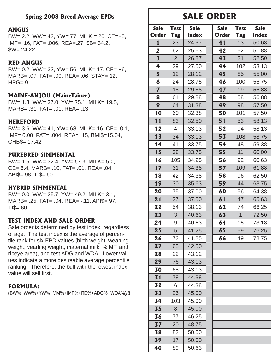### **Spring 2008 Breed Average EPDs**

#### **ANGUS**

BW= 2.2, WW= 42, YW= 77, MILK = 20, CE=+5, IMF= .16, FAT= .006, REA=.27, \$B= 34.2,  $SW = 24.22$ 

### **RED ANGUS**

BW= 0.2, WW= 32, YW= 56, MILK= 17, CE= +6, MARB= .07, FAT= .00, REA= .06, STAY= 12,  $HPG = 9$ 

### **MAINE-ANJOU (MaineTainer)**

BW= 1.3, WW= 37.0, YW= 75.1, MILK= 19.5, MARB= .31, FAT= .01, REA= .13

### **HEREFORD**

BW= 3.6, WW= 41, YW= 68, MILK= 16, CE= -0.1, IMF= 0.00, FAT= .004, REA= .15, BMI\$=15.04, CHB\$= 17.42

### **PUREBRED SIMMENTAL**

BW= 1.5, WW= 32.4, YW= 57.3, MILK= 5.0, CE= 6.4, MARB= .10, FAT= .01, REA= .04, API\$= 98, TI\$= 60

### **HYBRID SIMMENTAL**

BW= 0.0, WW= 25.7, YW= 49.2, MILK= 3.1, MARB= .25, FAT= .04, REA= -.11, API\$= 97,  $T1\$ = 60

### **TEST INDEX AND SALE ORDER**

Sale order is determined by test index, regardless of age. The test index is the average of percentile rank for six EPD values (birth weight, weaning weight, yearling weight, maternal milk, %IMF, and ribeye area), and test ADG and WDA. Lower values indicate a more desireable average percentile ranking. Therefore, the bull with the lowest index value will sell first.

### **FORMULA:**

(BW%+WW%+YW%+MM%+IMF%+RE%+ADG%+WDA%)/8

# **SALE ORDER**

| <b>Sale</b>             | <b>Test</b>    | <b>Sale</b>  | <b>Sale</b>  | <b>Test</b>    | <b>Sale</b> |
|-------------------------|----------------|--------------|--------------|----------------|-------------|
| <b>Order</b>            | Tag            | <b>Index</b> | <b>Order</b> | Tag            | Index       |
| 1                       | 23             | 24.37        | 41           | 13             | 50.63       |
| $\mathbf 2$             | 62             | 25.63        | 42           | 52             | 51.88       |
| $\overline{\mathbf{3}}$ | $\overline{2}$ | 26.87        | 43           | 21             | 52.50       |
| 4                       | 29             | 27.50        | 44           | 102            | 53.13       |
| 5                       | 12             | 28.12        | 45           | 85             | 55.00       |
| 6                       | 24             | 28.75        | 46           | 100            | 56.75       |
| $\overline{7}$          | 18             | 29.88        | 47           | 19             | 56.88       |
| 8                       | 61             | 29.88        | 48           | 58             | 56.88       |
| 9                       | 64             | 31.38        | 49           | 98             | 57.50       |
| 10                      | 60             | 32.38        | 50           | 101            | 57.50       |
| 11                      | 83             | 32.50        | 51           | 53             | 58.13       |
| 12                      | $\overline{4}$ | 33.13        | 52           | 94             | 58.13       |
| 13                      | 34             | 33.13        | 53           | 108            | 58.75       |
| 14                      | 41             | 33.75        | 54           | 48             | 59.38       |
| 15                      | 38             | 33.75        | 55           | 11             | 60.00       |
| 16                      | 105            | 34.25        | 56           | 92             | 60.63       |
| 17                      | 31             | 34.38        | 57           | 109            | 61.88       |
| 18                      | 42             | 34.38        | 58           | 96             | 62.50       |
| 19                      | 30             | 35.63        | 59           | 44             | 63.75       |
| 20                      | 75             | 37.00        | 60           | 56             | 64.38       |
| 21                      | 27             | 37.50        | 61           | 47             | 65.63       |
| 22                      | 54             | 38.13        | 62           | 74             | 66.25       |
| 23                      | 3              | 40.63        | 63           | $\overline{1}$ | 72.50       |
| 24                      | 9              | 40.63        | 64           | 15             | 73.13       |
| 25                      | 5              | 41.25        | 65           | 59             | 76.25       |
| 26                      | 72             | 41.25        | 66           | 49             | 78.75       |
| 27                      | 65             | 42.50        |              |                |             |
| 28                      | 22             | 43.12        |              |                |             |
| 29                      | 76             | 43.13        |              |                |             |
| 30                      | 68             | 43.13        |              |                |             |
| 31                      | 78             | 44.38        |              |                |             |
| 32                      | 6              | 44.38        |              |                |             |
| 33                      | 26             | 45.00        |              |                |             |
| 34                      | 103            | 45.00        |              |                |             |
| 35                      | 8              | 45.00        |              |                |             |
| 36                      | 77             | 46.25        |              |                |             |
| 37                      | 20             | 48.75        |              |                |             |
| 38                      | 82             | 50.00        |              |                |             |
| 39                      | 17             | 50.00        |              |                |             |
| 40                      | 89             | 50.63        |              |                |             |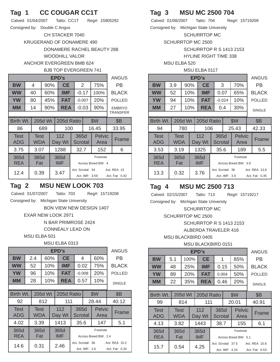## **Tag 1 CC COUGAR CC1T**

| Calved: 01/04/2007           | Tatto: CC1T | Reg#: 15905292 |
|------------------------------|-------------|----------------|
| Consigned by: Double C Angus |             |                |

CH STACKER 7040

KRUGERAND OF DONAMERE 490

DONAMERE RACHEL BEAUTY 288 WOODHILL VALOR

#### ANCHOR EVERGREEN BMB 624 BJB TOP EVERGREEN 741 **EPD's ANGUS BW** | 4 | 90% | **CE** | 2 | 75% | PB **WW** 40 60% **IMF** -0.17 100% BLACK **YW** | 80 | 45% | **FAT** | -0.007 | 20% | POLLED **MM** | 14 | 90% **REA** | -0.03 | 90% | EMBRYO **TRANSFER** Birth Wt. | 205d Wt | 205d Ratio  $\vert$  \$W | \$B 86 | 689 | 100 | 16.45 | 33.95 **Test** ADG Test **WDA** 112 Day Wt 365d **Scrotal** Pelvic Area Frame 3.75 | 3.07 | 1288 | 32.7 | 152 | 6 365d REA 365d Fat 365d IMF Footnote Across Breed BW: 4  $12.4$  0.39  $\frac{3.47}{ }$ Act. Scrotal: 34 Act. REA 13 Act. IMF: 3.59 Act. Fat: 0.42

## **Tag 2 MSU NEW LOOK 703**

Calved: 01/07/2007 Tatto: 703 Reg#: 15719208

Consigned by: Michigan State University

BON VIEW NEW DESIGN 1407

EXAR NEW LOOK 2971

N BAR PRIMROSE 2424

CONNEALY LEAD ON

MSU ELBA 501

MSU ELBA 0313

|                    |                    |         |                   |               |                                   | <b>EPD's</b>    |  |                                  |                                 |               |  |  |  |  |  |  |  |  |
|--------------------|--------------------|---------|-------------------|---------------|-----------------------------------|-----------------|--|----------------------------------|---------------------------------|---------------|--|--|--|--|--|--|--|--|
| <b>BW</b>          | 2.4                | 60%     |                   | <b>CE</b>     |                                   | 4               |  | 60%                              |                                 | РB            |  |  |  |  |  |  |  |  |
| <b>WW</b>          | 52                 | 10%     |                   | IMF           |                                   | 0.02            |  | 75%                              |                                 | <b>BLACK</b>  |  |  |  |  |  |  |  |  |
| <b>YW</b>          | 96                 | 10%     |                   | <b>FAT</b>    |                                   | $-0.008$        |  | 20%                              |                                 | <b>POLLED</b> |  |  |  |  |  |  |  |  |
| MМ                 | 28                 |         | 10%<br><b>REA</b> |               |                                   | 0.57            |  | 10%                              |                                 | <b>SINGLE</b> |  |  |  |  |  |  |  |  |
|                    |                    |         |                   |               |                                   |                 |  |                                  |                                 |               |  |  |  |  |  |  |  |  |
| Birth Wt.          |                    | 205d Wt |                   | 205d Ratio    | \$W                               |                 |  |                                  | \$Β                             |               |  |  |  |  |  |  |  |  |
| 92                 |                    | 812     |                   | 111           |                                   |                 |  | 28.44                            |                                 | 40.12         |  |  |  |  |  |  |  |  |
| <b>Test</b><br>ADG | <b>Test</b><br>WDA |         |                   | 112<br>Day Wt |                                   | 365d<br>Scrotal |  | <b>Pelvic</b><br>Area            |                                 | Frame         |  |  |  |  |  |  |  |  |
| 4.02               | 3.39               |         |                   | 1413          | 35.6<br>147                       |                 |  | 5.1                              |                                 |               |  |  |  |  |  |  |  |  |
| 365d<br><b>REA</b> | 365d<br>Fat        |         | 365d<br>IMF       |               |                                   |                 |  | Footnote<br>Across Breed BW: 2.4 |                                 |               |  |  |  |  |  |  |  |  |
| 14.6               | 0.31               |         |                   | 2.46          | Act. Scrotal: 36<br>Act. IMF: 2.6 |                 |  |                                  | Act. REA 15.2<br>Act. Fat: 0.34 |               |  |  |  |  |  |  |  |  |

## **Tag 3 MSU MC 2500 704**

Calved: 01/08/2007 Tatto: 704 Reg#: 15719209 Consigned by: Michigan State University

SCHURRTOP MC

SCHURRTOP MC 2500

SCHURRTOP R S 1413 2153

HYLINE RIGHT TIME 338

MSU ELBA 520

#### MSU ELBA 0117

|           | <b>ANGUS</b> |     |            |          |     |               |
|-----------|--------------|-----|------------|----------|-----|---------------|
| <b>BW</b> | 3.9          | 90% | <b>CE</b>  | 3        | 70% | РB            |
| <b>WW</b> | 52           | 10% | <b>IMF</b> | 0.07     | 65% | <b>BLACK</b>  |
| YW        | 94           | 10% | <b>FAT</b> | $-0.024$ | 10% | <b>POLLED</b> |
| <b>MM</b> | 27           | 10% | <b>REA</b> | 0.4      | 30% | <b>SINGLE</b> |
|           |              |     |            |          |     |               |

| Birth Wt.                 | 205d Wt            |               | 205d Ratio         |                        | \$W           |                                  | \$Β                             |  |
|---------------------------|--------------------|---------------|--------------------|------------------------|---------------|----------------------------------|---------------------------------|--|
| 94                        | 780                |               |                    | 106                    | 25.43         |                                  | 42.33                           |  |
| <b>Test</b><br><b>ADG</b> | Test<br><b>WDA</b> | 112<br>Day Wt |                    | 365d<br><b>Scrotal</b> |               | <b>Pelvic</b><br>Area            | Frame                           |  |
| 3.53                      | 3.19               |               | 1325               | 35.6                   |               | 189                              | 5.5                             |  |
| 365d<br><b>REA</b>        | 365d<br>Fat        |               | 365d<br><b>IMF</b> |                        |               | Footnote<br>Across Breed BW: 3.9 |                                 |  |
| 13.3                      | 0.32               |               | 3.76               | Act. Scrotal: 36       | Act. IMF: 3.9 |                                  | Act. REA 13.8<br>Act. Fat: 0.35 |  |

## **Tag 4 MSU MC 2500 713**

Calved: 02/15/2007 Tatto: 713 Reg#: 15719217

Consigned by: Michigan State University

SCHURRTOP MC

SCHURRTOP MC 2500

SCHURRTOP R S 1413 2153

ALBERDA TRAVELER 416

MSU BLACKBIRD 0405

### MSU BLACKBIRD 0151

|                    |                       |     |                    | EPD's         |       |                 |                                      |                                  |               | <b>ANGUS</b>                    |
|--------------------|-----------------------|-----|--------------------|---------------|-------|-----------------|--------------------------------------|----------------------------------|---------------|---------------------------------|
| <b>BW</b>          | 5.1                   |     | 100%               | <b>CE</b>     |       | 1               |                                      | 85%                              |               | РB                              |
| <b>WW</b>          | 48                    | 25% |                    | <b>IMF</b>    |       | 0.15            |                                      | 50%                              |               | <b>BLACK</b>                    |
| <b>YW</b>          | 89                    |     | 20%<br><b>FAT</b>  |               | 0.004 |                 | 50%                                  |                                  | <b>POLLED</b> |                                 |
| <b>MM</b>          | 22                    | 35% |                    | <b>REA</b>    |       | 0.46            |                                      | 20%                              |               | <b>SINGLE</b>                   |
|                    |                       |     |                    |               |       |                 |                                      |                                  |               |                                 |
| Birth Wt.          | 205d Wt<br>205d Ratio |     |                    |               |       |                 |                                      | \$W                              | <b>\$B</b>    |                                 |
| 99                 |                       | 814 |                    | 111           |       |                 |                                      | 20.01                            |               | 40.91                           |
| <b>Test</b><br>ADG | <b>Test</b><br>WDA    |     |                    | 112<br>Day Wt |       | 365d<br>Scrotal |                                      | <b>Pelvic</b><br>Area            |               | Frame                           |
| 4.13               | 3.82                  |     |                    | 1443          |       | 38.7            |                                      | 155                              |               | 6.1                             |
| 365d<br><b>REA</b> | 365d<br>Fat           |     | 365d<br><b>IMF</b> |               |       |                 |                                      | Footnote<br>Across Breed BW: 5.1 |               |                                 |
| 15.7               | 0.54                  |     |                    | 4.25          |       |                 | Act. Scrotal: 37.5<br>Act. IMF: 4.24 |                                  |               | Act. REA 15.6<br>Act. Fat: 0.53 |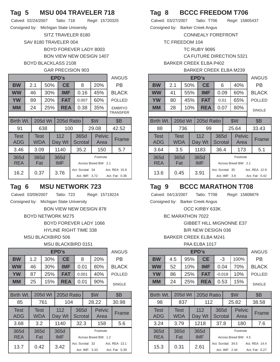## **Tag 5 MSU 004 TRAVELER 718**

Calved: 02/24/2007 Tatto: 718 Reg#: 15720325

Consigned by: Michigan State University

SITZ TRAVELER 8180

#### SAV 8180 TRAVELER 004 BOYD FOREVER LADY 8003

BON VIEW NEW DESIGN 1407

### BOYD BLACKLASS 2108

### GAR PRECISION 903

|                    | EPD's |                    |                              |            |               |                                    |          |  |                       |    |                                 |  |  |
|--------------------|-------|--------------------|------------------------------|------------|---------------|------------------------------------|----------|--|-----------------------|----|---------------------------------|--|--|
| <b>BW</b>          |       | 2.1                | 50%                          |            | <b>CE</b>     |                                    | 20%<br>8 |  |                       | РB |                                 |  |  |
| <b>WW</b>          |       | 46                 |                              | 30%        | IMF           |                                    | 0.16     |  | 45%                   |    | <b>BLACK</b>                    |  |  |
| <b>YW</b>          |       | 89                 |                              | 20%<br>FAT |               | 0.007                              |          |  | 60%                   |    | <b>POLLED</b>                   |  |  |
| MМ                 |       | 24                 |                              | 25%        | <b>REA</b>    |                                    | 0.38     |  | 35%                   |    | <b>EMBRYO</b><br>TRANSFER       |  |  |
|                    |       |                    |                              |            |               |                                    |          |  |                       |    |                                 |  |  |
| Birth Wt.          |       |                    | 205d Wt<br>\$W<br>205d Ratio |            |               |                                    |          |  |                       |    | <b>\$B</b>                      |  |  |
| 91                 |       |                    | 638                          |            | 100           |                                    |          |  | 29.08                 |    | 42.52                           |  |  |
| <b>Test</b><br>ADG |       | <b>Test</b><br>WDA |                              |            | 112<br>Day Wt | Scrotal                            | 365d     |  | <b>Pelvic</b><br>Area |    | Frame                           |  |  |
| 3.46               |       | 3.09               |                              |            | 1140          | 35.2                               |          |  | 150                   |    | 5.7                             |  |  |
| 365d<br><b>REA</b> |       | 365d<br>Fat        |                              |            | 365d<br>IMF   | Footnote<br>Across Breed BW: 2.1   |          |  |                       |    |                                 |  |  |
| 16.2               |       | 0.37               |                              |            | 3.76          | Act. Scrotal: 34<br>Act. IMF: 3.72 |          |  |                       |    | Act. REA 15.9<br>Act. Fat: 0.36 |  |  |

## **Tag 6 MSU NETWORK 723**

Calved: 03/09/2007 Tatto: 723 Reg#: 15719224

Consigned by: Michigan State University BON VIEW NEW DESIGN 878

### BOYD NETWORK M275

BOYD FOREVER LADY 1066 HYLINE RIGHT TIME 338

MSU BLACKBIRD 506

### MSU BLACKBIRD 0151

|                           |                           |         |                    | EPD's         |                                    |                 |     |                                  |                                 | <b>ANGUS</b>  |
|---------------------------|---------------------------|---------|--------------------|---------------|------------------------------------|-----------------|-----|----------------------------------|---------------------------------|---------------|
| <b>BW</b>                 | 1.2                       | 30%     |                    | <b>CE</b>     | 8                                  |                 |     | 20%                              |                                 | РB            |
| <b>WW</b>                 | 46                        |         | 30%                | <b>IMF</b>    |                                    | 0.01            |     | 80%                              |                                 | <b>BLACK</b>  |
| <b>YW</b>                 | 87                        |         | <b>25%</b>         | <b>FAT</b>    | 0.001                              |                 | 40% |                                  | <b>POLLED</b>                   |               |
| <b>MM</b>                 | 25                        |         | 15%                | <b>REA</b>    |                                    | 0.01            |     | 90%                              |                                 | <b>SINGLE</b> |
|                           |                           |         |                    |               |                                    |                 |     |                                  |                                 |               |
| Birth Wt.                 |                           | 205d Wt |                    | 205d Ratio    | \$W                                |                 |     |                                  | <b>\$B</b>                      |               |
| 85                        |                           | 761     |                    | 104           |                                    |                 |     | 28.22                            |                                 | 30.98         |
| <b>Test</b><br><b>ADG</b> | <b>Test</b><br><b>WDA</b> |         |                    | 112<br>Day Wt |                                    | 365d<br>Scrotal |     | Pelvic<br>Area                   |                                 | Frame         |
| 3.68                      | 3.2                       |         |                    | 1140          | 32.3<br>158                        |                 |     |                                  | 5.6                             |               |
| 365d<br><b>REA</b>        | 365d<br>Fat               |         | 365d<br><b>IMF</b> |               |                                    |                 |     | Footnote<br>Across Breed BW: 1.2 |                                 |               |
| 13.7                      | 0.42                      |         | 3.42               |               | Act. Scrotal: 32<br>Act. IMF: 3.33 |                 |     |                                  | Act. REA 13.1<br>Act. Fat: 0.39 |               |

# **Tag 8 BCCC FREEDOM T706**

Calved: 03/27/2007 Tatto: T706 Reg#: 15805437 Consigned by: Barker Creek Angus

### CONNEALY FOREFRONT

TC FREEDOM 104

TC RUBY 9095

CA FUTURE DIRECTION 5321

### BARKER CREEK ELBA P402

### BARKER CREEK ELBA M239

|                              |                         |                |     | <b>EPD's</b>  |      |      |               | <b>ANGUS</b>  |
|------------------------------|-------------------------|----------------|-----|---------------|------|------|---------------|---------------|
| <b>BW</b>                    | 2.1                     |                | 50% | <b>CE</b>     |      | 6    | 40%           | PB            |
| <b>WW</b>                    | 41                      |                | 55% | <b>IMF</b>    |      | 0.09 | 60%           | <b>BLACK</b>  |
| <b>YW</b>                    | 80                      |                | 45% | <b>FAT</b>    |      | 0.01 | 65%           | <b>POLLED</b> |
| <b>MM</b>                    | 28                      | 10%            |     | <b>REA</b>    |      | 0.07 | 80%           | <b>SINGLE</b> |
|                              |                         |                |     |               |      |      |               |               |
| Birth Wt.                    |                         | <b>205d Wt</b> |     | 205d Ratio    |      |      | \$W           | \$B           |
| 88                           |                         | 736            |     | 99            |      |      | 25.64         | 33.43         |
| <b>Test</b><br>$\sim$ $\sim$ | <b>Test</b><br>$\cdots$ |                |     | 112<br>1.0.11 | 365d |      | <b>Pelvic</b> | Frame         |

| Test<br><b>ADG</b> | lest<br><b>WDA</b> | 112<br>Day Wt      | 3650<br><b>Scrotal</b>            | <b>Pelvic</b><br>Area | Frame                           |
|--------------------|--------------------|--------------------|-----------------------------------|-----------------------|---------------------------------|
| 3.64               | 3.5                | 1183               | 36.4                              | 173                   | 5.1                             |
| 365d<br><b>REA</b> | 365d<br>Fat        | 365d<br><b>IMF</b> | Across Breed BW: 2.1              |                       |                                 |
| 13.6               | 0.45               | 3.91               | Act. Scrotal: 35<br>Act. IMF: 3.8 |                       | Act. REA 12.9<br>Act. Fat: 0.42 |

# **Tag 9 BCCC MARATHON T708**

Calved: 04/13/2007 Tatto: T708 Reg#: 15808879

Consigned by: Barker Creek Angus

OCC KIRBY 633K

BC MARATHON 7022

GIBBET HILL MIGNONNE E37 B/R NEW DESIGN 036

BARKER CREEK ELBA M241

### PAA ELBA 1017

|                    |             |         |               | EPD's       |          |                 |                                      |                                  |               | <b>ANGUS</b>                    |
|--------------------|-------------|---------|---------------|-------------|----------|-----------------|--------------------------------------|----------------------------------|---------------|---------------------------------|
| <b>BW</b>          | 4.5         | 95%     |               | <b>CE</b>   |          | $-3$            |                                      | 100%                             |               | РB                              |
| <b>WW</b>          | 52          |         | 10%           | IMF         | 0.04     |                 |                                      | 70%                              |               | <b>BLACK</b>                    |
| <b>YW</b>          | 86          | 25%     |               | <b>FAT</b>  | $-0.018$ |                 | 10%                                  |                                  | <b>POLLED</b> |                                 |
| MМ                 | 24          | 25%     |               | <b>REA</b>  |          | 0.53            |                                      | 15%                              |               | <b>SINGLE</b>                   |
|                    |             |         |               |             |          |                 |                                      |                                  |               |                                 |
| Birth Wt.          |             | 205d Wt | 205d Ratio    |             |          |                 |                                      | \$W                              |               | <b>\$B</b>                      |
| 98                 |             | 837     |               | 112         |          |                 |                                      | 25.82                            |               | 38.58                           |
| <b>Test</b><br>ADG | Test<br>WDA |         | 112<br>Day Wt |             |          | 365d<br>Scrotal |                                      | <b>Pelvic</b><br>Area            |               | Frame                           |
| 3.24               | 3.79        |         |               | 1218        | 37.8     |                 | 180                                  |                                  | 7.6           |                                 |
| 365d<br><b>REA</b> | 365d<br>Fat |         |               | 365d<br>IMF |          |                 |                                      | Footnote<br>Across Breed BW: 4.5 |               |                                 |
| 15.3               | 0.31        |         |               | 2.61        |          |                 | Act. Scrotal: 34.5<br>Act. IMF: 2.44 |                                  |               | Act. REA 14.4<br>Act. Fat: 0.27 |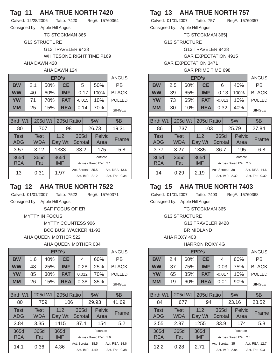## **Tag 11 AHA TRUE NORTH 7420**

Calved: 12/28/2006 Tatto: 7420 Reg#: 15760364 Consigned by: Apple Hill Angus

TC STOCKMAN 365

G13 STRUCTURE

G13 TRAVELER 9428

WHITESONE RIGHT TIME P169

### AHA DAWN 420

#### AHA DAWN 124

|                    | EPD's |             |         |     |                    |                                      |             |                       |  |                                 |  |  |
|--------------------|-------|-------------|---------|-----|--------------------|--------------------------------------|-------------|-----------------------|--|---------------------------------|--|--|
| <b>BW</b>          |       | 2.1         |         | 50% | <b>CE</b>          |                                      | 5           | 50%                   |  | РB                              |  |  |
| <b>WW</b>          |       | 40          |         | 60% | <b>IMF</b>         |                                      | $-0.17$     | 100%                  |  | <b>BLACK</b>                    |  |  |
| <b>YW</b>          |       | 71          |         | 70% | <b>FAT</b>         | $-0.015$                             |             | 10%                   |  | <b>POLLED</b>                   |  |  |
| MМ                 |       | 25          |         | 15% | <b>REA</b>         |                                      | 70%<br>0.14 |                       |  | <b>SINGLE</b>                   |  |  |
|                    |       |             |         |     |                    |                                      |             |                       |  |                                 |  |  |
| Birth Wt.          |       |             | 205d Wt |     | 205d Ratio         |                                      |             | \$W                   |  | <b>\$B</b>                      |  |  |
| 80                 |       |             | 707     |     | 98                 |                                      |             | 26.73                 |  | 19.31                           |  |  |
| <b>Test</b><br>ADG |       | Test<br>WDA |         |     | 112<br>Day Wt      | 365d<br>Scrotal                      |             | <b>Pelvic</b><br>Area |  | Frame                           |  |  |
| 3.57               |       | 3.12        |         |     | 1333               | 33.2                                 |             | 175                   |  | 5.8                             |  |  |
| 365d<br><b>REA</b> |       | 365d<br>Fat |         |     | 365d<br><b>IMF</b> | Footnote<br>Across Breed BW: 2.1     |             |                       |  |                                 |  |  |
| 13                 |       | 0.31        |         |     | 1.97               | Act. Scrotal: 35.5<br>Act. IMF: 2.12 |             |                       |  | Act. REA 13.6<br>Act. Fat: 0.34 |  |  |

## **Tag 12 AHA TRUE NORTH 7522**

Calved: 01/01/2007 Tatto: 7522 Reg#: 15760371

Consigned by: Apple Hill Angus

SAF FOCUS OF ER

#### MYTTY IN FOCUS

MYTTY COUNTESS 906

BCC BUSHWACKER 41-93

#### AHA QUEEN MOTHER 522

### AHA QUEEN MOTHER 034

|                    |                    |         |                    | EPD's         |                                      |       |         |                                  |     | <b>ANGUS</b>                    |
|--------------------|--------------------|---------|--------------------|---------------|--------------------------------------|-------|---------|----------------------------------|-----|---------------------------------|
| <b>BW</b>          | 1.6                | 40%     |                    | <b>CE</b>     |                                      | 4     |         | 60%                              |     | РB                              |
| <b>WW</b>          | 48                 |         | 25%                | IMF           |                                      | 0.28  |         | 25%                              |     | <b>BLACK</b>                    |
| <b>YW</b>          | 85                 |         | $30\%$             | <b>FAT</b>    |                                      | 0.012 |         | 70%                              |     | <b>POLLED</b>                   |
| <b>MM</b>          | 26                 |         | 15%<br><b>REA</b>  |               |                                      | 0.38  |         | 35%                              |     | <b>SINGLE</b>                   |
|                    |                    |         |                    |               |                                      |       |         |                                  |     |                                 |
| Birth Wt.          |                    | 205d Wt |                    | 205d Ratio    |                                      |       |         | \$W                              |     | <b>\$B</b>                      |
| 80                 |                    | 759     |                    | 106           |                                      |       |         | 29.93                            |     | 41.69                           |
| <b>Test</b><br>ADG | <b>Test</b><br>WDA |         |                    | 112<br>Day Wt |                                      | 365d  | Scrotal | <b>Pelvic</b><br>Area            |     | Frame                           |
| 3.84               | 3.35               |         |                    | 1415          | 37.4                                 |       | 154     |                                  | 5.2 |                                 |
| 365d<br><b>REA</b> | 365d<br>Fat        |         | 365d<br><b>IMF</b> |               |                                      |       |         | Footnote<br>Across Breed BW: 1.6 |     |                                 |
| 14.1               | 0.36               |         | 4.36               |               | Act. Scrotal: 38.5<br>Act. IMF: 4.49 |       |         |                                  |     | Act. REA 14.6<br>Act. Fat: 0.38 |

# **Tag 13 AHA TRUE NORTH 757**

Calved: 01/01/2007 Tatto: 757 Reg#: 15760357 Consigned by: Apple Hill Angus

TC STOCKMAN 365]

G13 STRUCTURE

G13 TRAVELER 9428

GAR EXPECTATION 4915

### GAR EXPECTATION 3471

#### GAR PRIME TIME 698

|                           |  |                    |         |     | EPD's              |  |                        |                                    |                                  | <b>ANGUS</b>                    |
|---------------------------|--|--------------------|---------|-----|--------------------|--|------------------------|------------------------------------|----------------------------------|---------------------------------|
| <b>BW</b>                 |  | 2.5                | 60%     |     | <b>CE</b>          |  | 6                      |                                    | 40%                              | РB                              |
| <b>WW</b>                 |  | 39                 | 65%     |     | <b>IMF</b>         |  | $-0.13$                |                                    | 100%                             | <b>BLACK</b>                    |
| <b>YW</b>                 |  | 73                 | 65%     |     | FAT                |  | $-0.013$               |                                    | 10%                              | <b>POLLED</b>                   |
| <b>MM</b>                 |  | 30                 |         | 10% | <b>REA</b>         |  | 0.32                   |                                    | 40%                              | <b>SINGLE</b>                   |
|                           |  |                    |         |     |                    |  |                        |                                    |                                  |                                 |
| Birth Wt.                 |  |                    | 205d Wt |     | 205d Ratio         |  |                        |                                    | \$W                              | <b>\$B</b>                      |
| 86                        |  |                    | 737     |     | 103                |  |                        |                                    | 25.79                            | 27.84                           |
| <b>Test</b><br><b>ADG</b> |  | <b>Test</b><br>WDA |         |     | 112<br>Day Wt      |  | 365d<br><b>Scrotal</b> |                                    | <b>Pelvic</b><br>Area            | Frame                           |
| 3.77                      |  | 3.27               |         |     | 1385               |  | 36.7                   |                                    | 195                              | 6.8                             |
| 365d<br>REA               |  | 365d<br>Fat        |         |     | 365d<br><b>IMF</b> |  |                        |                                    | Footnote<br>Across Breed BW: 2.5 |                                 |
| 14                        |  | 0.29               |         |     | 2.19               |  |                        | Act. Scrotal: 38<br>Act. IMF: 2.32 |                                  | Act. REA 14.6<br>Act. Fat: 0.32 |

## **Tag 15 AHA TRUE NORTH 7403**

Calved: 01/01/2007 Tatto: 7403 Reg#: 15760368

Consigned by: Apple Hill Angus

TC STOCKMAN 365 G13 STRUCTURE

G13 TRAVELER 9428

BR MIDLAND

AHA ROXY 403

### HARRON ROXY 4G

|                           |                    |         |                   | EPD's              |                                    |                 |     |                                  | <b>ANGUS</b>                   |
|---------------------------|--------------------|---------|-------------------|--------------------|------------------------------------|-----------------|-----|----------------------------------|--------------------------------|
| <b>BW</b>                 | 2.4                | 60%     |                   | <b>CE</b>          |                                    | 4               |     | 60%                              | РB                             |
| <b>WW</b>                 | 37                 |         | 75%               | <b>IMF</b>         |                                    | 0.03            |     | 75%                              | <b>BLACK</b>                   |
| YW                        | 65                 |         | 85%               | <b>FAT</b>         | $-0.017$                           |                 | 10% | <b>POLLED</b>                    |                                |
| MМ                        | 19                 |         | 60%<br><b>REA</b> |                    |                                    | 0.01            |     | 90%                              | <b>SINGLE</b>                  |
|                           |                    |         |                   |                    |                                    |                 |     |                                  |                                |
| Birth Wt.                 |                    | 205d Wt |                   | 205d Ratio         |                                    |                 |     | \$W                              | <b>\$B</b>                     |
| 84                        |                    | 677     |                   | 94                 |                                    |                 |     | 23.16                            | 28.52                          |
| <b>Test</b><br><b>ADG</b> | Test<br><b>WDA</b> |         |                   | 112<br>Day Wt      |                                    | 365d<br>Scrotal |     | <b>Pelvic</b><br>Area            | Frame                          |
| 3.55                      | 2.97               |         |                   | 1255               | 33.9                               |                 | 174 | 5.8                              |                                |
| 365d<br><b>REA</b>        | 365d<br>Fat        |         |                   | 365d<br><b>IMF</b> |                                    |                 |     | Footnote<br>Across Breed BW: 2.4 |                                |
| 12.2                      | 0.28               |         | 2.71              |                    | Act. Scrotal: 35<br>Act. IMF: 2.84 |                 |     |                                  | Act. REA 12.7<br>Act. Fat: 0.3 |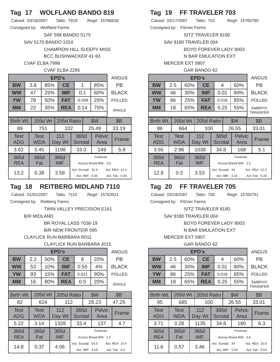## **Tag 17 WOLFLAND BANDO 819**

Calved: 03/18/2007 Tatto: T819 Reg#: 15766630 Consigned by: Wolfland Farms

SAF 598 BANDO 5175

SAV 5175 BANDO 1024

CHAMPION HILL SLEEPY MISS BCC BUSHWACKER 41-93

#### CVAF ELBA 7998

#### CVAF ELBA 2295

|                           | EPD's |                    |         |     |               |                                  |                 |                                      |                       |               |                                 |  |
|---------------------------|-------|--------------------|---------|-----|---------------|----------------------------------|-----------------|--------------------------------------|-----------------------|---------------|---------------------------------|--|
| <b>BW</b>                 |       | 3.8                |         | 85% | <b>CE</b>     |                                  | 1               |                                      | 85%                   |               | РB                              |  |
| <b>WW</b>                 |       | 47                 |         | 25% | <b>IMF</b>    | 0.1                              |                 |                                      | 60%                   |               | <b>BLACK</b>                    |  |
| <b>YW</b>                 |       | 78                 |         | 50% | <b>FAT</b>    | $-0.006$                         |                 | 25%                                  |                       | <b>POLLED</b> |                                 |  |
| MМ                        |       | 22                 |         | 35% | <b>REA</b>    |                                  | 0.14            |                                      | 70%                   |               | <b>SINGLE</b>                   |  |
|                           |       |                    |         |     |               |                                  |                 |                                      |                       |               |                                 |  |
| Birth Wt.                 |       |                    | 205d Wt |     | 205d Ratio    |                                  |                 |                                      | \$W                   |               | <b>\$B</b>                      |  |
| 89                        |       |                    | 751     |     | 102           |                                  |                 |                                      | 25.49                 |               | 33.19                           |  |
| <b>Test</b><br><b>ADG</b> |       | <b>Test</b><br>WDA |         |     | 112<br>Day Wt |                                  | 365d<br>Scrotal |                                      | <b>Pelvic</b><br>Area |               | Frame                           |  |
| 3.62                      |       | 3.45               |         |     | 1198          |                                  | 33.3            |                                      | 149                   |               | 5.9                             |  |
| 365d<br><b>REA</b>        |       | 365d<br>Fat        |         |     | 365d<br>IMF   | Footnote<br>Across Breed BW: 3.8 |                 |                                      |                       |               |                                 |  |
| 13.2                      |       | 0.38               |         |     | 3.59          |                                  |                 | Act. Scrotal: 32.5<br>Act. IMF: 3.46 |                       |               | Act. REA 12.4<br>Act. Fat: 0.34 |  |

## **Tag 18 REITBERG MIDLAND 7110**

Calved: 01/01/2007 Tatto: 7110 Reg#: 15763521

Consigned by: Rietberg Farms

TWIN VALLEY PRECISION E161

B/R MIDLAND

BR ROYAL LASS 7036-19

B/R NEW FRONTEIR 095

#### CLAYLICK RUN BARBARA R011

#### CLAYLICK RUN BARBARA 2015

|                           |                    |         |                   | <b>EPD's</b>  |       |                 |                    |                       | ANGUS         |
|---------------------------|--------------------|---------|-------------------|---------------|-------|-----------------|--------------------|-----------------------|---------------|
| ВW                        | 2.2                | 50%     |                   | <b>CE</b>     |       | 8               |                    | 20%                   | РB            |
| <b>WW</b>                 | 53                 |         | 10%               | <b>IMF</b>    |       | 0.55            |                    | 4%                    | <b>BLACK</b>  |
| <b>YW</b>                 | 93                 |         | 15%<br><b>FAT</b> |               | 0.021 |                 | 90%                | <b>POLLED</b>         |               |
| MМ                        | 16                 |         | 80%<br><b>REA</b> |               |       | 0.5             |                    | 20%                   | <b>SINGLE</b> |
|                           |                    |         |                   |               |       |                 |                    |                       |               |
| Birth Wt.                 |                    | 205d Wt |                   | 205d Ratio    |       |                 |                    | \$W                   | <b>\$B</b>    |
| 82                        |                    | 624     |                   | 112           |       |                 |                    | 28.23                 | 47.25         |
| <b>Test</b><br><b>ADG</b> | <b>Test</b><br>WDA |         |                   | 112<br>Day Wt |       | 365d<br>Scrotal |                    | <b>Pelvic</b><br>Area | Frame         |
| 5.22                      | 3.14               |         |                   | 1328          |       | 33.4            |                    | 137                   | 4.7           |
| 365d                      | 365d               |         |                   | 365d          |       |                 |                    | Footnote              |               |
| <b>REA</b>                | Fat                |         |                   | <b>IMF</b>    |       |                 |                    | Across Breed BW: 2.2  |               |
| 14.8                      | 0.37               |         | 4.06              |               |       |                 | Act. Scrotal: 34.5 |                       | Act. REA 15.4 |
|                           |                    |         |                   |               |       |                 | Act. IMF: 4.19     |                       | Act. Fat: 0.4 |

## **Tag 19 FF TRAVELER 703**

Calved: 03/17/2007 Tatto: 703 Reg#: 15765790 Consigned by: Fitzner Farms SITZ TRAVELER 8180

SAV 8180 TRAVELER 004

BOYD FOREVER LADY 8003

N BAR EMULATION EXT

### MERCER EXT 0907

|  | GAR BANDO 62 |
|--|--------------|
|--|--------------|

|                    |                           |         |     | EPD's         |                      |                 |                                    |                       |                           | <b>ANGUS</b>                    |
|--------------------|---------------------------|---------|-----|---------------|----------------------|-----------------|------------------------------------|-----------------------|---------------------------|---------------------------------|
| <b>BW</b>          | 2.5                       |         | 60% | <b>CE</b>     |                      | 4               |                                    | 60%                   |                           | РB                              |
| <b>WW</b>          | 46                        |         | 30% | <b>IMF</b>    |                      | 0.01            |                                    | 80%                   |                           | <b>BLACK</b>                    |
| <b>YW</b>          | 86                        |         | 25% | FAT           |                      | 0.018           |                                    | 85%                   |                           | <b>POLLED</b>                   |
| MМ                 | 18                        |         | 65% | <b>REA</b>    | 0.25<br>55%          |                 |                                    |                       | <b>EMBRYO</b><br>TRANSFER |                                 |
|                    |                           |         |     |               |                      |                 |                                    |                       |                           |                                 |
| Birth Wt.          |                           | 205d Wt |     | 205d Ratio    |                      |                 |                                    | \$W                   |                           | <b>\$B</b>                      |
| 86                 |                           | 664     |     | 100           |                      |                 |                                    | 26.55                 |                           | 33.01                           |
| <b>Test</b><br>ADG | <b>Test</b><br><b>WDA</b> |         |     | 112<br>Day Wt |                      | 365d<br>Scrotal |                                    | <b>Pelvic</b><br>Area |                           | Frame                           |
| 3.55               | 2.98                      |         |     | 1038          |                      | 34.8            |                                    | 168                   |                           | 5.1                             |
| 365d<br>REA        | 365d<br>Fat               |         |     | 365d<br>IMF   | Across Breed BW: 2.5 |                 |                                    | Footnote              |                           |                                 |
| 12.8               | 0.3                       |         |     | 3.53          |                      |                 | Act. Scrotal: 34<br>Act. IMF: 3.41 |                       |                           | Act. REA 12.3<br>Act. Fat: 0.28 |

### **Tag 20 FF TRAVELER 705**

Calved: 03/19/2007 Tatto: 705 Reg#: 15765791

Consigned by: Fitzner Farms

SITZ TRAVELER 8180

SAV 8180 TRAVELER 004

BOYD FOREVER LADY 8003

N BAR EMULATION EXT

MERCER EXT 0907

#### GAR BANDO 62

|                    |      |             |         |               | EPD's       |       |      |                  |                                  |                | <b>ANGUS</b>    |  |
|--------------------|------|-------------|---------|---------------|-------------|-------|------|------------------|----------------------------------|----------------|-----------------|--|
| BW                 |      | 2.5         | 60%     |               | <b>CE</b>   |       | 4    |                  | 60%                              |                | РB              |  |
| <b>WW</b>          |      | 46          | 30%     |               | IMF         |       | 0.01 |                  | 80%                              |                | <b>BLACK</b>    |  |
| <b>YW</b>          |      | 86          |         | 25%           | <b>FAT</b>  | 0.018 |      |                  | 85%                              |                | <b>POLLED</b>   |  |
| MМ                 |      | 18          | 65%     |               | <b>REA</b>  |       | 0.25 |                  | 55%                              |                | <b>EMBRYO</b>   |  |
|                    |      |             |         |               |             |       |      |                  |                                  |                | <b>TRANSFER</b> |  |
| Birth Wt.          |      |             | 205d Wt |               | 205d Ratio  |       |      |                  | \$W                              |                | <b>\$B</b>      |  |
| 95                 |      |             | 685     | 100           |             |       |      |                  | 26.55                            |                | 33.01           |  |
| <b>Test</b><br>ADG |      | Test<br>WDA |         | 112<br>Day Wt |             |       | 365d | Scrotal          | <b>Pelvic</b><br>Area            |                | Frame           |  |
| 3.71               |      | 3.28        |         |               | 1135        |       | 34.8 |                  | 180                              |                | 6.3             |  |
| 365d<br><b>REA</b> |      | 365d<br>Fat |         |               | 365d<br>IMF |       |      |                  | Footnote<br>Across Breed BW: 3.6 |                |                 |  |
| 11.6               | 0.57 |             |         |               | 3.46        |       |      | Act. Scrotal: 34 |                                  |                | Act. REA 10.9   |  |
|                    |      |             |         |               |             |       |      | Act. IMF: 3.33   |                                  | Act. Fat: 0.54 |                 |  |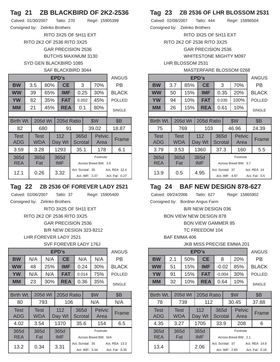# **Tag 21 ZB BLACKBIRD OF 2K2-2536**

| Calved: 01/30/2007             | Tatto: 270 | Reg#: 15905399 |
|--------------------------------|------------|----------------|
| Consigned by: Zelinko Brothers |            |                |

RITO 3X25 OF 5H11 EXT RITO 2K2 OF 2536 RITO 3X25 GAR PRECISION 2536 BUTCHS MAXIMUM 3130 SYD GEN BLACKBIRD 1085

### SAF BLACKBIRD 3044

|            | EPD's |            |         |     |            |                  |                |                      |  |                |  |
|------------|-------|------------|---------|-----|------------|------------------|----------------|----------------------|--|----------------|--|
| <b>BW</b>  |       | 3.5        |         | 80% | <b>CE</b>  |                  | 3              | 70%                  |  | РB             |  |
| <b>WW</b>  |       | 39         |         | 65% | <b>IMF</b> |                  | 0.25           | 30%                  |  | <b>BLACK</b>   |  |
| <b>YW</b>  |       | 82         |         | 35% | <b>FAT</b> |                  | 0.002          | 45%                  |  | <b>POLLED</b>  |  |
| MМ         |       | 21         |         | 45% | <b>REA</b> |                  | 0.1            | 80%                  |  | <b>SINGLE</b>  |  |
|            |       |            |         |     |            |                  |                |                      |  |                |  |
| Birth Wt.  |       |            | 205d Wt |     | 205d Ratio | \$W              |                |                      |  | <b>\$B</b>     |  |
| 82         |       |            | 680     |     | 91         |                  |                | 39.02                |  | 18.87          |  |
| Test       |       | Test       |         |     | 112        | 365d             |                | <b>Pelvic</b>        |  | Frame          |  |
| <b>ADG</b> |       | <b>WDA</b> |         |     | Day Wt     | Scrotal          |                | Area                 |  |                |  |
| 3.59       |       | 3.28       |         |     | 1293       | 35.1             |                | 178                  |  | 6.1            |  |
| 365d       |       | 365d       |         |     | 365d       |                  |                | Footnote             |  |                |  |
| <b>REA</b> |       | Fat        |         |     | <b>IMF</b> |                  |                | Across Breed BW: 3.5 |  |                |  |
| 12.1       |       | 0.26       |         |     | 3.32       | Act. Scrotal: 35 |                |                      |  | Act. REA 12.4  |  |
|            |       |            |         |     |            |                  | Act. IMF: 3.37 |                      |  | Act. Fat: 0.27 |  |

### **Tag 22 ZB 2536 OF FOREVER LADY 2521**

Calved: 02/06/2007 Tatto: 37 Reg#: 15905400

Consigned by: Zelinko Brothers

RITO 3X25 OF 5H11 EXT RITO 2K2 OF 2536 RITO 3X25 GAR PRECISION 2536 B/R NEW DESIGN 323-8212

LHR FOREVER LADY 2521

#### SVF FOREVER LADY 176J

|                           |                    |         |            | EPD's         |                      |                 |                |  | ANGUS          |
|---------------------------|--------------------|---------|------------|---------------|----------------------|-----------------|----------------|--|----------------|
| BW                        | N/A                |         | N/A        | <b>CE</b>     | N/A                  |                 | N/A            |  | РB             |
| <b>WW</b>                 | 48                 |         | 25%<br>IMF |               |                      | 0.24            | 30%            |  | <b>BLACK</b>   |
| <b>YW</b>                 | N/A                |         | N/A        | <b>FAT</b>    |                      | 0.014           | 75%            |  | <b>POLLED</b>  |
| MМ                        | 23                 |         | 30%        | <b>REA</b>    |                      | 0.36            | 35%            |  | <b>SINGLE</b>  |
|                           |                    |         |            |               |                      |                 |                |  |                |
| Birth Wt.                 |                    | 205d Wt |            | 205d Ratio    |                      |                 | \$W            |  | <b>\$B</b>     |
| 80                        |                    | 793     |            | 106           |                      |                 | N/A            |  | N/A            |
| <b>Test</b><br><b>ADG</b> | <b>Test</b><br>WDA |         |            | 112<br>Day Wt |                      | 365d<br>Scrotal | Pelvic<br>Area |  | Frame          |
| 4.02                      | 3.54               |         |            | 1370          |                      | 35.6            | 154            |  | 6.5            |
| 365d                      | 365d               |         |            | 365d          |                      |                 | Footnote       |  |                |
| <b>REA</b>                | Fat                |         |            | <b>IMF</b>    | Across Breed BW: N/A |                 |                |  |                |
| 13.2                      | 0.34               |         |            | 3.31          | Act. Scrotal: 35     |                 |                |  | Act. REA 13.3  |
|                           |                    |         |            |               |                      | Act. IMF: 3.34  |                |  | Act. Fat: 0.35 |

## **Tag 23 ZB 2536 OF LHR BLOSSOM 2531**

Calved: 02/08/2007 Tatto: 444 Reg#: 15896504

Consigned by: Zelinko Brothers

RITO 3X25 OF 5H11 EXT

RITO 2K2 OF 2536 RITO 3X25

GAR PRECISION 2536

WHITESTONE MIGHTY M097

LHR BLOSSOM 2531

#### MASTERFARE BLOSSOM 0268

|           |     | <b>ANGUS</b> |            |       |      |               |  |  |  |  |  |  |
|-----------|-----|--------------|------------|-------|------|---------------|--|--|--|--|--|--|
| <b>BW</b> | 3.7 | 85%          | <b>CE</b>  | 3     | 70%  | PB            |  |  |  |  |  |  |
| <b>WW</b> | 50  | 15%          | <b>IMF</b> | 0.35  | 20%  | <b>BLACK</b>  |  |  |  |  |  |  |
| <b>YW</b> | 94  | 10%          | <b>FAT</b> | 0.035 | 100% | <b>POLLED</b> |  |  |  |  |  |  |
| <b>MM</b> | 26  | 15%          | <b>REA</b> | 0.61  | 10%  | <b>SINGLE</b> |  |  |  |  |  |  |
|           |     |              |            |       |      |               |  |  |  |  |  |  |

| Birth Wt.                 | 205d Wt                   |                    | 205d Ratio             |                | \$W                              |  | <b>\$B</b>                   |  |
|---------------------------|---------------------------|--------------------|------------------------|----------------|----------------------------------|--|------------------------------|--|
| 75                        | 769                       | 103                |                        | 46.96          |                                  |  | 24.39                        |  |
| <b>Test</b><br><b>ADG</b> | <b>Test</b><br><b>WDA</b> | 112<br>Day Wt      | 365d<br><b>Scrotal</b> |                | <b>Pelvic</b><br>Area            |  | Frame                        |  |
| 3.79                      | 3.53                      | 1360               | 37.3                   |                | 160                              |  | 5.5                          |  |
| 365d<br><b>REA</b>        | 365d<br>Fat               | 365d<br><b>IMF</b> |                        |                | Footnote<br>Across Breed BW: 3.7 |  |                              |  |
| 13.9                      | 0.5                       | 4.95               | Act. Scrotal: 37       | Act. IMF: 4.97 |                                  |  | Act. REA 14<br>Act. Fat: 0.5 |  |

## **Tag 24 BAF NEW DESIGN 878-627**

Calved: 09/24/2006 Tatto: 627 Reg#: 15865902

Consigned by: Bordner Angus Farm

B/R NEW DESIGN 036

BON VIEW NEW DESIGN 878

BON VIEW GAMMER 85

TC FREEDOM 104

BAF EMMA 406

### JKB MISS PRECISE EMMA 201

|                    |             |         |     | EPD's              |                  |                |                                  | <b>ANGUS</b>                    |
|--------------------|-------------|---------|-----|--------------------|------------------|----------------|----------------------------------|---------------------------------|
| <b>BW</b>          | 2.1         | 50%     |     | <b>CE</b>          |                  | 8              | 20%                              | РB                              |
| <b>WW</b>          | 51          |         | 15% | IMF                | $-0.02$          |                | 85%                              | <b>BLACK</b>                    |
| <b>YW</b>          | 91          |         | 15% | <b>FAT</b>         | $-0.004$         |                | 30%                              | <b>POLLED</b>                   |
| <b>MM</b>          | 32          |         | 10% | <b>REA</b>         |                  | 0.64           | 10%                              | <b>SINGLE</b>                   |
|                    |             |         |     |                    |                  |                |                                  |                                 |
| Birth Wt.          |             | 205d Wt |     | 205d Ratio         |                  |                | \$W                              | <b>\$B</b>                      |
| 78                 |             | 739     |     | 112                |                  |                | 30.45                            | 37.88                           |
| <b>Test</b><br>ADG | Test<br>WDA |         |     | 112<br>Day Wt      | 365d<br>Scrotal  |                | <b>Pelvic</b><br>Area            | Frame                           |
| 4.35               | 3.27        |         |     | 1705               | 33.9             |                | 208                              | 6                               |
| 365d<br><b>REA</b> | 365d<br>Fat |         |     | 365d<br><b>IMF</b> |                  |                | Footnote<br>Across Breed BW: 2.1 |                                 |
| 13.4               |             |         |     | 2.06               | Act. Scrotal: 37 | Act. IMF: 2.83 |                                  | Act. REA 14.8<br>Act. Fat: 0.16 |
|                    |             |         |     |                    |                  |                |                                  |                                 |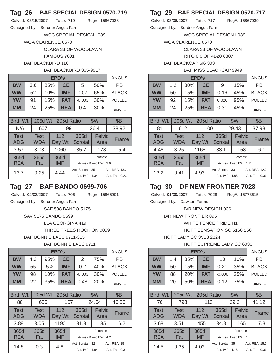### **Tag 26 BAF SPECIAL DESIGN 0570-719**

Calved: 03/15/2007 Tatto: 719 Reg#: 15867038

Consigned by: Bordner Angus Farm

WCC SPECIAL DESIGN L039

WGA CLARENCE 0570

CLARA 33 OF WOODLAWN

FAMOUS 7001

BAF BLACKBIRD 116

### BAF BLACKBIRD 365-9917

|                    |             |         |     | EPD's              |                  |                |                                  | <b>ANGUS</b>                    |
|--------------------|-------------|---------|-----|--------------------|------------------|----------------|----------------------------------|---------------------------------|
| <b>BW</b>          | 3.6         |         | 85% | <b>CE</b>          |                  | 5              | 50%                              | РB                              |
| <b>WW</b>          | 52          |         | 10% | <b>IMF</b>         |                  | 0.07           | 65%                              | <b>BLACK</b>                    |
| YW                 | 91          |         | 15% | <b>FAT</b>         |                  | $-0.003$       | 30%                              | <b>POLLED</b>                   |
| MМ                 | 24          |         | 25% | <b>REA</b>         |                  | 0.4            | 30%                              | <b>SINGLE</b>                   |
|                    |             |         |     |                    |                  |                |                                  |                                 |
| Birth Wt.          |             | 205d Wt |     | 205d Ratio         |                  |                | \$W                              | <b>\$B</b>                      |
| N/A                |             | 607     |     | 99                 |                  |                | 26.4                             | 38.92                           |
| <b>Test</b><br>ADG | Test<br>WDA |         |     | 112<br>Day Wt      | 365d<br>Scrotal  |                | <b>Pelvic</b><br>Area            | Frame                           |
| 3.57               | 3.03        |         |     | 1060               | 35.7             |                | 178                              | 5.4                             |
| 365d<br><b>REA</b> | 365d<br>Fat |         |     | 365d<br><b>IMF</b> |                  |                | Footnote<br>Across Breed BW: 3.6 |                                 |
| 13.7               | 0.25        |         |     | 4.44               | Act. Scrotal: 35 | Act. IMF: 4.34 |                                  | Act. REA 13.2<br>Act. Fat: 0.23 |

## **Tag 27 BAF BANDO 0699-706**

Calved: 02/03/2007 Tatto: 706 Reg#: 15865901

Consigned by: Bordner Angus Farm

SAF 598 BANDO 5175

## SAV 5175 BANDO 0699

LLA GEORGINA 419

THREE TREES ROCK ON 0059

BAF BONNIE LASS 9711-315

### BAF BONNIE LASS 9711

|                           |                    |         |     | EPD's              |   |                 |                                    |                                  | <b>ANGUS</b>                  |
|---------------------------|--------------------|---------|-----|--------------------|---|-----------------|------------------------------------|----------------------------------|-------------------------------|
| <b>BW</b>                 | 4.2                |         | 95% | <b>CE</b>          | 2 |                 |                                    | 75%                              | РB                            |
| <b>WW</b>                 | 55                 |         | 5%  | IMF                |   | 0.2             |                                    | 40%                              | <b>BLACK</b>                  |
| <b>YW</b>                 | 98                 |         | 10% | <b>FAT</b>         |   | $-0.003$        |                                    | 30%                              | <b>POLLED</b>                 |
| <b>MM</b>                 | 22                 |         | 35% | <b>REA</b>         |   | 0.48            |                                    | 20%                              | <b>SINGLE</b>                 |
|                           |                    |         |     |                    |   |                 |                                    |                                  |                               |
| Birth Wt.                 |                    | 205d Wt |     | 205d Ratio         |   |                 |                                    | \$W                              | <b>\$B</b>                    |
| 88                        |                    | 656     |     | 107                |   |                 |                                    | 24.64                            | 46.56                         |
| <b>Test</b><br><b>ADG</b> | <b>Test</b><br>WDA |         |     | 112<br>Day Wt      |   | 365d<br>Scrotal |                                    | <b>Pelvic</b><br>Area            | Frame                         |
| 3.88                      | 3.05               |         |     | 1190               |   | 31.9            |                                    | 135                              | 6.2                           |
| 365d<br><b>REA</b>        | 365d<br>Fat        |         |     | 365d<br><b>IMF</b> |   |                 |                                    | Footnote<br>Across Breed BW: 4.2 |                               |
| 14.8                      | 0.3                |         |     | 4.8                |   |                 | Act. Scrotal: 32<br>Act. IMF: 4.84 |                                  | Act. REA 15<br>Act. Fat: 0.31 |

# **Tag 29 BAF SPECIAL DESIGN 0570-717**

Calved: 03/06/2007 Tatto: 717 Reg#: 15867039 Consigned by: Bordner Angus Farm

WCC SPECIAL DESIGN L039

WGA CLARENCE 0570

CLARA 33 OF WOODLAWN

RITO 6I6 OF 4B20 6807

BAF BLACKCAP 6I6 303

#### BAF MISS BLACKCAP 9949

|           | EPD's                |     |     |  |            |       |  |       |               |  |  |  |  |  |
|-----------|----------------------|-----|-----|--|------------|-------|--|-------|---------------|--|--|--|--|--|
| <b>BW</b> |                      | 1.2 | 30% |  | <b>CE</b>  | 9     |  | 15%   | PB            |  |  |  |  |  |
| <b>WW</b> |                      | 50  | 15% |  | <b>IMF</b> | 0.16  |  | 45%   | <b>BLACK</b>  |  |  |  |  |  |
| <b>YW</b> |                      | 92  | 15% |  | <b>FAT</b> | 0.026 |  | 95%   | <b>POLLED</b> |  |  |  |  |  |
| <b>MM</b> |                      | 24  | 25% |  | <b>REA</b> | 0.31  |  | 45%   | <b>SINGLE</b> |  |  |  |  |  |
|           |                      |     |     |  |            |       |  |       |               |  |  |  |  |  |
|           | 205d Wt<br>Birth Wt. |     |     |  | 205d Ratio |       |  | \$W   | <b>\$B</b>    |  |  |  |  |  |
| 81        |                      |     | 612 |  | 100        |       |  | 29.43 | 37.98         |  |  |  |  |  |

| . .                       | UIL                                                                  | i vv               |                  |                | ∠∪. ⊤∪                           | <u>JI.JU</u>                    |
|---------------------------|----------------------------------------------------------------------|--------------------|------------------|----------------|----------------------------------|---------------------------------|
| <b>Test</b><br><b>ADG</b> | 112<br>365d<br><b>Test</b><br><b>WDA</b><br><b>Scrotal</b><br>Day Wt |                    |                  |                | <b>Pelvic</b><br>Area            | Frame                           |
| 4.46                      | 3.25                                                                 | 1168               | 33.1             |                | 158                              | 6.1                             |
| 365d<br><b>REA</b>        | 365d<br>Fat                                                          | 365d<br><b>IMF</b> |                  |                | Footnote<br>Across Breed BW: 1.2 |                                 |
| 13.2                      | 0.41                                                                 | 4.93               | Act. Scrotal: 33 | Act. IMF: 4.85 |                                  | Act. REA 12.7<br>Act. Fat: 0.39 |

## **Tag 30 DF NEW FRONTIER 7028**

Calved: 01/09/2007 Tatto: 7028 Reg#: 15773615

Consigned by: Dawson Farms

B/R NEW DESIGN 036

B/R NEW FRONTIER 095

WHITE FENCE PRIDE H1

HOFF SENSATION SC 5160 150

HOFF LADY SC 3V13 2324

HOFF SUPREME LADY SC 6033

|                           |             |         |                  | EPD's         |                 |                  |                       | <b>ANGUS</b>   |
|---------------------------|-------------|---------|------------------|---------------|-----------------|------------------|-----------------------|----------------|
| <b>BW</b>                 | 1.4         |         | <b>CE</b><br>35% |               | 10              |                  | 10%                   | РB             |
| <b>WW</b>                 | 50          |         | 15%              | <b>IMF</b>    | 0.21            |                  | 35%                   | <b>BLACK</b>   |
| <b>YW</b>                 | 88          |         | 20%              | <b>FAT</b>    | $-0.006$        |                  | 25%                   | <b>POLLED</b>  |
| <b>MM</b>                 | 20          |         | 50%              | <b>REA</b>    | 0.12            |                  | 75%                   | <b>SINGLE</b>  |
|                           |             |         |                  |               |                 |                  |                       |                |
| Birth Wt.                 |             | 205d Wt |                  | 205d Ratio    |                 |                  | \$W                   | <b>\$B</b>     |
| 76                        |             | 798     |                  | 113           |                 |                  | 29.2                  | 41.12          |
| <b>Test</b><br><b>ADG</b> | Test<br>WDA |         |                  | 112<br>Day Wt | 365d<br>Scrotal |                  | <b>Pelvic</b><br>Area | Frame          |
| 3.68                      | 3.51        |         |                  | 1455          | 34.8            |                  | 165                   | 7.3            |
| 365d                      | 365d        |         |                  | 365d          |                 |                  | Footnote              |                |
| <b>REA</b>                | Fat         |         |                  | <b>IMF</b>    |                 |                  | Across Breed BW: 1.4  |                |
| 14.5                      | 0.35        |         |                  | 4.02          |                 | Act. Scrotal: 35 |                       | Act. REA 15.3  |
|                           |             |         |                  |               |                 | Act. IMF: 4.15   |                       | Act. Fat: 0.39 |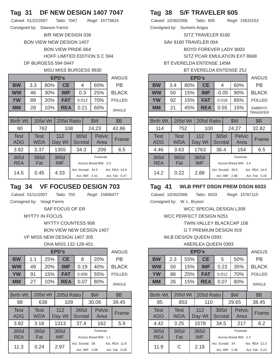## **Tag 31 DF NEW DESIGN 1407 7047**

Calved: 01/22/2007 Tatto: 7047 Reg#: 15773624 Consigned by: Dawson Farms

> B/R NEW DESIGN 036 BON VIEW NEW DESIGN 1407 BON VIEW PRIDE 664 HOFF LIMITED EDITION S C 594 DF BURGESS 594 0447

#### MSU MISS BURGESS 9930

|                           |                    |         |     | EPD's         |                    |                |                                  | <b>ANGUS</b>                    |
|---------------------------|--------------------|---------|-----|---------------|--------------------|----------------|----------------------------------|---------------------------------|
| <b>BW</b>                 | 3.3                |         | 80% | <b>CE</b>     |                    | 4              | 60%                              | РB                              |
| <b>WW</b>                 | 46                 |         | 30% | <b>IMF</b>    |                    | 0.3            | 25%                              | <b>BLACK</b>                    |
| <b>YW</b>                 | 89                 |         | 20% | <b>FAT</b>    |                    | 0.012          | 70%                              | <b>POLLED</b>                   |
| MМ                        | 28                 |         | 10% | <b>REA</b>    |                    | 0.21           | 60%                              | <b>SINGLE</b>                   |
|                           |                    |         |     |               |                    |                |                                  |                                 |
| Birth Wt.                 |                    | 205d Wt |     | 205d Ratio    |                    |                | \$W                              | <b>\$B</b>                      |
| 90                        |                    | 762     |     | 108           |                    |                | 24.23                            | 42.86                           |
| <b>Test</b><br><b>ADG</b> | Test<br><b>WDA</b> |         |     | 112<br>Day Wt | 365d<br>Scrotal    |                | <b>Pelvic</b><br>Area            | Frame                           |
| 3.82                      | 3.37               |         |     | 1355          | 34.3               |                | 209                              | 6.5                             |
| 365d<br><b>REA</b>        | 365d<br>Fat        |         |     | 365d<br>IMF   |                    |                | Footnote<br>Across Breed BW: 3.3 |                                 |
| 14.5                      | 0.45               |         |     | 4.33          | Act. Scrotal: 34.5 | Act. IMF: 4.41 |                                  | Act. REA 14.9<br>Act. Fat: 0.47 |

## **Tag 34 VF FOCUSED DESIGN 703**

Calved: 01/11/2007 Tatto: 703 Reg#: 15806477

Consigned by: Voogt Farms

SAF FOCUS OF ER

MYTTY IN FOCUS

MYTTY COUNTESS 906

BON VIEW NEW DESIGN 1407

VF MISS NEW DESIGN 1407 305

OHA MISS 132-128-451

|                    |                    |         |     | <b>EPD's</b>  |                 |                                    |                       | <b>ANGUS</b>                    |
|--------------------|--------------------|---------|-----|---------------|-----------------|------------------------------------|-----------------------|---------------------------------|
| BW                 | 1.1                |         | 25% | <b>CE</b>     | 8               |                                    | 20%                   | РB                              |
| <b>WW</b>          | 49                 |         | 20% | IMF           | 0.19            |                                    | 40%                   | <b>BLACK</b>                    |
| <b>YW</b>          | 91                 |         | 15% | <b>FAT</b>    | 0.006           |                                    | 55%                   | <b>POLLED</b>                   |
| MМ                 | 27                 |         | 10% | <b>REA</b>    | 0.07            |                                    | 80%                   | <b>SINGLE</b>                   |
|                    |                    |         |     |               |                 |                                    |                       |                                 |
| Birth Wt.          |                    | 205d Wt |     | 205d Ratio    |                 |                                    | \$W                   | <b>\$B</b>                      |
| 88                 |                    | 638     |     | 109           |                 |                                    | 30.06                 | 39.45                           |
| Test<br><b>ADG</b> | <b>Test</b><br>WDA |         |     | 112<br>Day Wt | 365d<br>Scrotal |                                    | <b>Pelvic</b><br>Area | Frame                           |
| 3.82               | 3.18               |         |     | 1313          | 37.4            |                                    | 162                   | 5.9                             |
| 365d               | 365d               |         |     | 365d          |                 |                                    | Footnote              |                                 |
| <b>REA</b>         | Fat                |         |     | <b>IMF</b>    |                 |                                    | Across Breed BW: 1.1  |                                 |
| 11.3               | 0.24               |         |     | 2.97          |                 | Act. Scrotal: 38<br>Act. IMF: 3.06 |                       | Act. REA 11.8<br>Act. Fat: 0.26 |

## **Tag 38 S/F TRAVELER 605**

Calved: 10/30/2006 Tatto: 605 Reg#: 15633153 Consigned by: Sumerix Angus

SITZ TRAVELER 8180

SAV 8180 TRAVELER 004

BOYD FOREVER LADY 8003

SITZ PCAR EMULATION EXT 8668

BT EVERELDA ENTENSE 145M

#### BT EVERELDA ENTENSE 25J

|                           |                    |         |     | EPD's         |   |                 |                                      |                       | <b>ANGUS</b>                  |
|---------------------------|--------------------|---------|-----|---------------|---|-----------------|--------------------------------------|-----------------------|-------------------------------|
| <b>BW</b>                 | 3.4                |         | 80% | <b>CE</b>     | 4 |                 |                                      | 60%                   | РB                            |
| <b>WW</b>                 | 50                 |         | 15% | IMF           |   | $-0.05$         |                                      | 90%                   | <b>BLACK</b>                  |
| <b>YW</b>                 | 92                 |         | 15% | <b>FAT</b>    |   | 0.018           |                                      | 85%                   | <b>POLLED</b>                 |
| <b>MM</b>                 | 21                 |         | 45% | <b>REA</b>    |   | 0.55            |                                      | 15%                   | <b>EMBRYO</b>                 |
|                           |                    |         |     |               |   |                 |                                      |                       | <b>TRANSFER</b>               |
| Birth Wt.                 |                    | 205d Wt |     | 205d Ratio    |   |                 |                                      | \$W                   | <b>\$B</b>                    |
| 114                       |                    | 752     |     | 100           |   |                 |                                      | 24.27                 | 32.82                         |
| <b>Test</b><br><b>ADG</b> | <b>Test</b><br>WDA |         |     | 112<br>Day Wt |   | 365d<br>Scrotal |                                      | <b>Pelvic</b><br>Area | Frame                         |
| 4.46                      | 3.63               |         |     | 1763          |   | 36.4            |                                      | 154                   | 6.5                           |
| 365d                      | 365d               |         |     | 365d          |   |                 |                                      | Footnote              |                               |
| <b>REA</b>                | Fat                |         |     | <b>IMF</b>    |   |                 |                                      | Across Breed BW: 3.4  |                               |
| 14.2                      | 0.22               |         |     | 2.88          |   |                 | Act. Scrotal: 39.5<br>Act. IMF: 2.96 |                       | Act RFA 146<br>Act. Fat: 0.24 |

### **Tag 41 WLB PRFT DSGN PREM DSGN 6033**

Calved: 10/30/2006 Tatto: 6033 Reg#: 15767115 Consigned by: W. L. Bryson

WCC SPECIAL DESIGN L309

WCC PERFECT DESIGN N251

TWIN VALLEY BLACKCAP 108

G T PREMIUM DESIGN 919

WLB DESIGN QUEEN 0393

#### ABERLEA QUEEN 0393

|                           | <b>EPD's</b> |                    |         |                   |                    |                                                                       |                 |     |                       |               |               |  |  |
|---------------------------|--------------|--------------------|---------|-------------------|--------------------|-----------------------------------------------------------------------|-----------------|-----|-----------------------|---------------|---------------|--|--|
| <b>BW</b>                 |              | 2.3                |         | 55%               | <b>CE</b>          |                                                                       | 5               |     | 50%                   |               | РB            |  |  |
| <b>WW</b>                 |              | 50                 |         | 15%               | <b>IMF</b>         | 0.23                                                                  |                 |     | 35%                   |               | <b>BLACK</b>  |  |  |
| <b>YW</b>                 |              | 86                 |         | <b>FAT</b><br>25% |                    | 0.012                                                                 |                 | 70% |                       | <b>POLLED</b> |               |  |  |
| MМ                        |              | 26                 |         | 15%               | <b>REA</b>         |                                                                       | 0.07            |     | 80%                   |               | <b>SINGLE</b> |  |  |
|                           |              |                    |         |                   |                    |                                                                       |                 |     |                       |               |               |  |  |
| Birth Wt.                 |              |                    | 205d Wt |                   | 205d Ratio         |                                                                       | \$W             |     |                       |               | <b>\$B</b>    |  |  |
| 85                        |              |                    | 853     |                   | 110                |                                                                       |                 |     | 29.65                 |               | 38.45         |  |  |
| <b>Test</b><br><b>ADG</b> |              | <b>Test</b><br>WDA |         |                   | 112<br>Day Wt      |                                                                       | 365d<br>Scrotal |     | <b>Pelvic</b><br>Area |               | Frame         |  |  |
| 4.42                      |              | 3.25               |         |                   | 1578               |                                                                       | 34.5            |     | 217                   |               | 6.2           |  |  |
| 365d<br><b>REA</b>        |              | 365d<br>Fat        |         |                   | 365d<br><b>IMF</b> | Footnote<br>Across Breed BW: 2.3                                      |                 |     |                       |               |               |  |  |
| 11.9                      |              | C                  |         |                   | 2.18               | Act. Scrotal: 34<br>Act. REA 12.3<br>Act. IMF: 2.46<br>Act. Fat: 0.22 |                 |     |                       |               |               |  |  |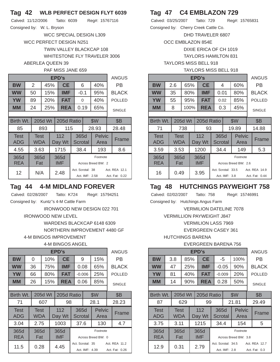### **Tag 42 WLB PERFECT DESIGN FLYT 6039**

Calved: 11/12/2006 Tatto: 6039 Reg#: 15767116 Consigned by: W. L. Bryson

> WCC SPECIAL DESIGN L309 WCC PERFECT DESIGN N251 TWIN VALLEY BLACKCAP 108 WHITESTONE FLY TRAVELER 3006 ABERLEA QUEEN 39

#### PAF MISS JANE 659

|                    | EPD's |                    |         |     |                    |                                    |      |      |                       |               |                                 |  |
|--------------------|-------|--------------------|---------|-----|--------------------|------------------------------------|------|------|-----------------------|---------------|---------------------------------|--|
| <b>BW</b>          |       | 2                  |         | 45% | <b>CE</b>          |                                    | 6    |      | 40%                   |               | РB                              |  |
| <b>WW</b>          |       | 50                 |         | 15% | IMF                | $-0.1$                             |      |      | 95%                   |               | <b>BLACK</b>                    |  |
| <b>YW</b>          |       | 89                 |         | 20% | FAT                | 0                                  |      | 40%  |                       | <b>POLLED</b> |                                 |  |
| MМ                 |       | 24                 |         | 25% | <b>REA</b>         |                                    |      | 0.19 | 65%                   |               | <b>SINGLE</b>                   |  |
|                    |       |                    |         |     |                    |                                    |      |      |                       |               |                                 |  |
| Birth Wt.          |       |                    | 205d Wt |     | 205d Ratio         |                                    |      |      | \$W                   |               | <b>\$B</b>                      |  |
| 85                 |       |                    | 893     |     | 115                |                                    |      |      | 28.93                 |               | 28.48                           |  |
| <b>Test</b><br>ADG |       | <b>Test</b><br>WDA |         |     | 112<br>Day Wt      | 365d<br>Scrotal                    |      |      | <b>Pelvic</b><br>Area |               | Frame                           |  |
| 4.55               |       | 3.63               |         |     | 1715               |                                    | 38.4 |      | 193                   |               | 8.6                             |  |
| 365d<br><b>REA</b> |       | 365d<br>Fat        |         |     | 365d<br><b>IMF</b> | Footnote<br>Across Breed BW: 2     |      |      |                       |               |                                 |  |
| 12                 |       | N/A                |         |     | 2.48               | Act. Scrotal: 38<br>Act. IMF: 2.58 |      |      |                       |               | Act. REA 12.1<br>Act. Fat: 0.22 |  |

### **Tag 44 4-M MIDLAND FOREVER**

Calved: 02/28/2007 Tatto: K724 Reg#: 15794251

Consigned by: Kuntz''s 4-M Cattle Farm IRONWOOD NEW DESIGN 022 701

IRONWOOD NEW LEVEL

WARDENS BLACKCAP 6148 6309 NORTHERN IMPROVEMENT 4480 GF 4-M BINGOS IMPROVEMENT

4-M BINGOS ANGEL

|                    | EPD's |             |         |                   |               |                                   |                 |                |                    |     |                |  |  |
|--------------------|-------|-------------|---------|-------------------|---------------|-----------------------------------|-----------------|----------------|--------------------|-----|----------------|--|--|
| <b>BW</b>          |       | 0           |         | 10%               | <b>CE</b>     |                                   | 9               |                | 15%                |     | РB             |  |  |
| <b>WW</b>          |       | 36          |         | 75%               | <b>IMF</b>    |                                   | 0.08            |                | 65%                |     | <b>BLACK</b>   |  |  |
| <b>YW</b>          |       | 66          | 80%     |                   | <b>FAT</b>    |                                   | $-0.006$        |                | 25%                |     | <b>POLLED</b>  |  |  |
| <b>MM</b>          |       | 26          |         | <b>REA</b><br>15% |               |                                   | 0.06            |                | 85%                |     | <b>SINGLE</b>  |  |  |
|                    |       |             |         |                   |               |                                   |                 |                |                    |     |                |  |  |
| Birth Wt.          |       |             | 205d Wt |                   | 205d Ratio    | \$W                               |                 |                |                    | \$Β |                |  |  |
| 71                 |       |             | 607     |                   | 98            |                                   |                 |                | 28.1               |     | 28.23          |  |  |
| Test<br><b>ADG</b> |       | Test<br>WDA |         |                   | 112<br>Day Wt |                                   | 365d<br>Scrotal |                | Pelvic<br>Area     |     | Frame          |  |  |
| 3.04               |       | 2.75        |         |                   | 1003          | 37.6                              |                 | 130            |                    | 4.7 |                |  |  |
| 365d               |       | 365d        |         |                   | 365d          | Footnote                          |                 |                |                    |     |                |  |  |
| <b>REA</b>         |       | Fat         |         |                   | <b>IMF</b>    |                                   |                 |                | Across Breed BW: 0 |     |                |  |  |
| 11.5               |       | 0.28        |         |                   | 4.45          | Act. Scrotal: 35<br>Act. REA 11.2 |                 |                |                    |     |                |  |  |
|                    |       |             |         |                   |               |                                   |                 | Act. IMF: 4.39 |                    |     | Act. Fat: 0.26 |  |  |

## **Tag 47 C4 EMBLAZON 729**

| Calved: 03/25/2007                    | Tatto: 729 |  | Reg#: 15765831 |  |
|---------------------------------------|------------|--|----------------|--|
| Consigned by: Cherry Creek Cattle Co. |            |  |                |  |

DHD TRAVELER 6807

OCC EMBLAZON 854E

DIXIE ERICA OF CH 1019

TAYLORS HAMILTON 831

### TAYLORS MISS BELL 918

#### TAYLORS MISS BELL 918

|           | EPD's |                |      |            |            |      |     |     |                      |  |  |  |  |
|-----------|-------|----------------|------|------------|------------|------|-----|-----|----------------------|--|--|--|--|
| <b>BW</b> |       | 2.6            | 65%  |            | <b>CE</b>  | 4    |     | 60% | <b>P<sub>B</sub></b> |  |  |  |  |
| <b>WW</b> |       | 35             | 80%  |            | <b>IMF</b> | 0.01 |     | 80% | <b>BLACK</b>         |  |  |  |  |
| <b>YW</b> |       | 55             | 95%  |            | <b>FAT</b> | 0.02 |     | 85% | <b>POLLED</b>        |  |  |  |  |
| <b>MM</b> |       | 8              | 100% |            | <b>REA</b> | 0.3  |     | 45% | <b>SINGLE</b>        |  |  |  |  |
|           |       |                |      |            |            |      |     |     |                      |  |  |  |  |
| Birth Wt. |       | <b>205d Wt</b> |      | 205d Ratio |            |      | \$W | \$B |                      |  |  |  |  |
|           |       |                |      |            |            |      |     |     |                      |  |  |  |  |

| 71                        | 738                       |  |                    | 93                     |               | 19.89                            |  | 14.88                           |
|---------------------------|---------------------------|--|--------------------|------------------------|---------------|----------------------------------|--|---------------------------------|
| <b>Test</b><br><b>ADG</b> | <b>Test</b><br><b>WDA</b> |  | 112<br>Day Wt      | 365d<br><b>Scrotal</b> |               | <b>Pelvic</b><br>Area            |  | Frame                           |
| 3.59                      | 3.53                      |  | 1200               | 34.4                   |               | 149                              |  | 5.3                             |
| 365d<br><b>REA</b>        | 365d<br>Fat               |  | 365d<br><b>IMF</b> |                        |               | Footnote<br>Across Breed BW: 2.6 |  |                                 |
| 16                        | 0.49                      |  | 3.95               | Act. Scrotal: 33.5     | Act. IMF: 3.8 |                                  |  | Act. REA 14.9<br>Act. Fat: 0.44 |

## **Tag 48 HUTCHINGS PAYWEIGHT 758**

Calved: 02/02/2007 Tatto: 758 Reg#: 15746991

Consigned by: Hutchings Angus Farm

VERMILION DATELINE 7078

VERMILLION PAYWEIGHT J847

VERMILION LASS 7969

EVERGREEN CASEY 361

HUTCHINGS BARENA

### EVERGREEN BARENA 756

|                    | EPD's                              |                           |     |                   |                    |          |                                     |     |                                  |               |                                |  |  |
|--------------------|------------------------------------|---------------------------|-----|-------------------|--------------------|----------|-------------------------------------|-----|----------------------------------|---------------|--------------------------------|--|--|
| <b>BW</b>          |                                    | 3.8                       |     | 85%               | <b>CE</b>          |          | -5                                  |     | 100%                             |               | РB                             |  |  |
| <b>WW</b>          |                                    | 47                        |     | <b>IMF</b><br>25% |                    |          | $-0.05$                             |     | 90%                              |               | <b>BLACK</b>                   |  |  |
| <b>YW</b>          |                                    | 81                        | 40% |                   | <b>FAT</b>         | $-0.009$ |                                     | 20% |                                  | <b>POLLED</b> |                                |  |  |
| <b>MM</b>          |                                    | 14                        | 90% |                   | <b>REA</b>         |          | 0.28                                |     | 50%                              |               | <b>SINGLE</b>                  |  |  |
|                    |                                    |                           |     |                   |                    |          |                                     |     |                                  |               |                                |  |  |
|                    | 205d Wt<br>Birth Wt.<br>205d Ratio |                           |     |                   |                    |          |                                     | \$W |                                  |               | <b>\$B</b>                     |  |  |
| 87                 |                                    |                           | 629 |                   | 99                 |          |                                     |     | 21.81                            |               | 29.49                          |  |  |
| <b>Test</b><br>ADG |                                    | <b>Test</b><br><b>WDA</b> |     |                   | 112<br>Day Wt      |          | 365d<br>Scrotal                     |     | <b>Pelvic</b><br>Area            |               | Frame                          |  |  |
| 3.75               |                                    | 3.11                      |     |                   | 1215               | 34.4     |                                     |     | 154                              |               | 5                              |  |  |
| 365d<br><b>REA</b> |                                    | 365d<br>Fat               |     |                   | 365d<br><b>IMF</b> |          |                                     |     | Footnote<br>Across Breed BW: 3.8 |               |                                |  |  |
| 12.9               |                                    | 0.31                      |     |                   | 2.79               |          | Act. Scrotal: 34.5<br>Act. IMF: 2.8 |     |                                  |               | Act. REA 12.7<br>Act. Fat: 0.3 |  |  |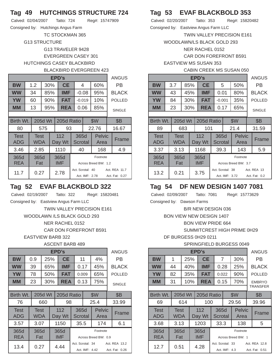## **Tag 49 HUTCHINGS STRUCTURE 724**

| Calved: 02/04/2007 | Tatto: 724 |  | Reg#: 15747909 |
|--------------------|------------|--|----------------|
|                    |            |  |                |

Consigned by: Hutchings Angus Farm

TC STOCKMAN 365

G13 STRUCTURE

## G13 TRAVELER 9428 EVERGREEN CASEY 301 HUTCHINGS CASEY BLACKBIRD

### BLACKBIRD EVERGREEN 423

|                           | EPD's |             |         |     |                    |                  |                |                                  |                                 |               |  |  |  |
|---------------------------|-------|-------------|---------|-----|--------------------|------------------|----------------|----------------------------------|---------------------------------|---------------|--|--|--|
| <b>BW</b>                 |       | 1.2         |         | 30% | <b>CE</b>          |                  | 4              | 60%                              |                                 | РB            |  |  |  |
| <b>WW</b>                 |       | 34          | 85%     |     | <b>IMF</b>         |                  | $-0.08$        | 95%                              |                                 | <b>BLACK</b>  |  |  |  |
| <b>YW</b>                 |       | 60          |         | 90% | <b>FAT</b>         |                  | $-0.019$       | 10%                              |                                 | <b>POLLED</b> |  |  |  |
| <b>MM</b>                 |       | 13          |         | 95% | <b>REA</b>         |                  | 0.06<br>85%    |                                  |                                 | <b>SINGLE</b> |  |  |  |
|                           |       |             |         |     |                    |                  |                |                                  |                                 |               |  |  |  |
| Birth Wt.                 |       |             | 205d Wt |     | 205d Ratio         |                  | \$W            |                                  |                                 | <b>\$B</b>    |  |  |  |
| 80                        |       |             | 575     |     | 93                 |                  |                | 22.76                            |                                 | 16.67         |  |  |  |
| <b>Test</b><br><b>ADG</b> |       | Test<br>WDA |         |     | 112<br>Day Wt      | 365d<br>Scrotal  |                | <b>Pelvic</b><br>Area            |                                 | Frame         |  |  |  |
| 3.46                      |       | 2.85        |         |     | 1110               | 40<br>168        |                |                                  |                                 | 4.9           |  |  |  |
| 365d<br><b>REA</b>        |       | 365d<br>Fat |         |     | 365d<br><b>IMF</b> |                  |                | Footnote<br>Across Breed BW: 1.2 |                                 |               |  |  |  |
| 11.7                      |       | 0.27        |         |     | 2.78               | Act. Scrotal: 40 | Act. IMF: 2.78 |                                  | Act. REA 11.7<br>Act. Fat: 0.27 |               |  |  |  |

# **Tag 52 EVAF BLACKBOLD 322**

Calved: 02/19/2007 Tatto: 322 Reg#: 15820481 Consigned by: Eastview Angus Farm LLC TWIN VALLEY PRECISION E161 WOODLAWN /LS BLACK GOLD 293 NER RACHEL 0152 CAR DON FOREFRONT B591 EASTVIEW BARB 322

ASCENT BARB 489

|                    | EPD's |             |         |                   |                    |                                                                       |          |                       |  |               |  |  |
|--------------------|-------|-------------|---------|-------------------|--------------------|-----------------------------------------------------------------------|----------|-----------------------|--|---------------|--|--|
| <b>BW</b>          |       | 0.9         |         | 25%               | <b>CE</b>          |                                                                       | 11<br>4% |                       |  | РB            |  |  |
| <b>WW</b>          |       | 39          |         | 65%               | IMF                | 0.17                                                                  |          | 45%                   |  | <b>BLACK</b>  |  |  |
| <b>YW</b>          |       | 78          |         | <b>FAT</b><br>50% |                    | 0.009                                                                 |          | 65%                   |  | <b>POLLED</b> |  |  |
| MМ                 |       | 23          | 30%     |                   | REA                | 0.13                                                                  |          | 75%                   |  | <b>SINGLE</b> |  |  |
|                    |       |             |         |                   |                    |                                                                       |          |                       |  |               |  |  |
| Birth Wt.          |       |             | 205d Wt |                   | 205d Ratio         | \$W                                                                   |          |                       |  | <b>\$B</b>    |  |  |
| 76                 |       |             | 660     |                   | 98                 |                                                                       |          | 25.4                  |  | 33.99         |  |  |
| <b>Test</b><br>ADG |       | Test<br>WDA |         |                   | 112<br>Day Wt      | 365d<br>Scrotal                                                       |          | <b>Pelvic</b><br>Area |  | Frame         |  |  |
| 3.57               |       | 3.07        |         |                   | 1150               | 35.5                                                                  |          | 174                   |  | 6.1           |  |  |
| 365d<br><b>REA</b> |       | 365d<br>Fat |         |                   | 365d<br><b>IMF</b> | Footnote<br>Across Breed BW: 0.9                                      |          |                       |  |               |  |  |
| 13.4               |       | 0.27        |         |                   | 4.44               | Act. Scrotal: 34<br>Act. REA 13.2<br>Act. IMF: 4.42<br>Act. Fat: 0.26 |          |                       |  |               |  |  |

# **Tag 53 EVAF BLACKBOLD 353**

Calved: 02/20/2007 Tatto: 353 Reg#: 15820482 Consigned by: Eastview Angus Farm LLC

TWIN VALLEY PRECISION E161

WOODLAWN/LS BLACK GOLD 293

NER RACHEL 0152

CAR DON FOREFRONT B591

EASTVIEW MS SUSAN 353

| <b>CABIN CREEK MS SUSAN 050</b> |
|---------------------------------|
|---------------------------------|

|                           | <b>EPD's</b> |                           |         |             |                                  |   |                        |  |                       |  |               |  |  |  |
|---------------------------|--------------|---------------------------|---------|-------------|----------------------------------|---|------------------------|--|-----------------------|--|---------------|--|--|--|
| <b>BW</b>                 |              | 3.7                       |         | 85%         | <b>CE</b>                        | 5 |                        |  | 50%                   |  | PB            |  |  |  |
| <b>WW</b>                 |              | 43                        |         | 45%         | <b>IMF</b>                       |   | 0.01                   |  | 80%                   |  | <b>BLACK</b>  |  |  |  |
| <b>YW</b>                 |              | 84                        |         | 30%         | <b>FAT</b>                       |   | $-0.001$               |  | 35%                   |  | <b>POLLED</b> |  |  |  |
| <b>MM</b>                 |              | 23                        |         | 30%         | <b>REA</b>                       |   | 0.17                   |  | 65%                   |  | <b>SINGLE</b> |  |  |  |
|                           |              |                           |         |             |                                  |   |                        |  |                       |  |               |  |  |  |
| Birth Wt.                 |              |                           | 205d Wt |             | 205d Ratio                       |   |                        |  | \$W                   |  | <b>\$B</b>    |  |  |  |
| 89                        |              |                           | 683     |             | 101                              |   |                        |  | 21.4                  |  | 31.59         |  |  |  |
| <b>Test</b><br><b>ADG</b> |              | <b>Test</b><br><b>WDA</b> |         |             | 112<br>Day Wt                    |   | 365d<br><b>Scrotal</b> |  | <b>Pelvic</b><br>Area |  | Frame         |  |  |  |
| 3.37                      |              | 3.13                      |         |             | 1168                             |   | 39.3                   |  | 143                   |  | 5.9           |  |  |  |
| 365d<br><b>REA</b>        |              | 365d<br>Fat               |         | 365d<br>IMF | Footnote<br>Across Breed BW: 3.7 |   |                        |  |                       |  |               |  |  |  |

## **Tag 54 DF NEW DESIGN 1407 7081**

Calved: 02/09/2007 Tatto: 7081 Reg#: 15773629

13.2 0.21 3.75

Consigned by: Dawson Farms

Act. Scrotal: 38 Act. REA 13 Act. IMF: 3.72 Act. Fat: 0.2

B/R NEW DESIGN 036

BON VIEW NEW DESIGN 1407

BON VIEW PRIDE 664

SUMMITCREST HIGH PRIME 0H29

DF BURGESS 0H29 0211

### SPRINGFIELD BURGESS 0049

|                    | EPD's |                    |         |                                          |               |                 |                 |                                   |                       |            |                                 |  |
|--------------------|-------|--------------------|---------|------------------------------------------|---------------|-----------------|-----------------|-----------------------------------|-----------------------|------------|---------------------------------|--|
| <b>BW</b>          |       | 1                  | 25%     |                                          | <b>CE</b>     |                 | $\overline{7}$  |                                   | 30%                   |            | РB                              |  |
| <b>WW</b>          |       | 44                 |         | 40%                                      | <b>IMF</b>    | 0.28            |                 |                                   | 25%                   |            | <b>BLACK</b>                    |  |
| <b>YW</b>          |       | 82                 |         | 35%                                      | <b>FAT</b>    | 0.022           |                 |                                   | 90%                   |            | <b>POLLED</b>                   |  |
| <b>MM</b>          |       | 31                 |         | 10%                                      | <b>REA</b>    |                 | 0.15            |                                   | 70%                   |            | <b>EMBRYO</b>                   |  |
|                    |       |                    |         |                                          |               | <b>TRANSFER</b> |                 |                                   |                       |            |                                 |  |
| Birth Wt.          |       |                    | 205d Wt |                                          | 205d Ratio    | \$W             |                 |                                   |                       | <b>\$B</b> |                                 |  |
| 69                 |       |                    | 614     |                                          | 100           |                 |                 |                                   | 29.56                 |            | 39.96                           |  |
| <b>Test</b><br>ADG |       | <b>Test</b><br>WDA |         |                                          | 112<br>Day Wt |                 | 365d<br>Scrotal |                                   | <b>Pelvic</b><br>Area |            | Frame                           |  |
| 3.68               |       | 3.13               |         |                                          | 1203          | 33.3            |                 | 138                               |                       | 5          |                                 |  |
| 365d<br><b>REA</b> |       | 365d<br>Fat        |         | 365d<br><b>IMF</b><br>Across Breed BW: 1 |               |                 |                 |                                   | Footnote              |            |                                 |  |
| 12.7               |       | 0.51               |         |                                          | 4.28          |                 |                 | Act. Scrotal: 33<br>Act. IMF: 4.3 |                       |            | Act. REA 12.8<br>Act. Fat: 0.51 |  |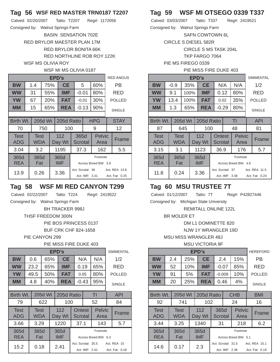### **Tag 56 WSF RED MASTER TRN0187 T2207**

| Calved: 02/20/2007                | Tatto: T2207 | Reg#: 1172056 |
|-----------------------------------|--------------|---------------|
| Consigned by: Walnut Springs Farm |              |               |

BASIN SENSATION 702E RED BRYLOR MAESTER PLAN 17M RED BRYLOR BONITA 66K RED NORTHLINE ROB ROY 122K WSF MS OLIVIA ROY

#### WSF MI MS OLIVIA 0187

|                           | EPD's |                    |         |                                                        |               |                 |            |                       |  |                                 |  |  |
|---------------------------|-------|--------------------|---------|--------------------------------------------------------|---------------|-----------------|------------|-----------------------|--|---------------------------------|--|--|
| <b>BW</b>                 |       | 1.4                | 75%     |                                                        | <b>CE</b>     |                 | 5          | 60%                   |  | РB                              |  |  |
| <b>WW</b>                 |       | 31                 |         | 55%                                                    | IMF           | $-0.01$         |            | 80%                   |  | RED                             |  |  |
| <b>YW</b>                 |       | 67                 |         | 20%                                                    | <b>FAT</b>    | $-0.01$         |            | 30%                   |  | <b>POLLED</b>                   |  |  |
| <b>MM</b>                 |       | 15                 |         | 65%                                                    | <b>REA</b>    |                 | $-0.13$    | 90%                   |  | <b>SINGLE</b>                   |  |  |
|                           |       |                    |         |                                                        |               |                 |            |                       |  |                                 |  |  |
| Birth Wt.                 |       |                    | 205d Wt |                                                        | 205d Ratio    |                 | <b>HPG</b> |                       |  | <b>STAY</b>                     |  |  |
| 70                        |       |                    | 750     |                                                        | 100           |                 |            | 9                     |  | 12                              |  |  |
| <b>Test</b><br><b>ADG</b> |       | Test<br><b>WDA</b> |         |                                                        | 112<br>Day Wt | 365d<br>Scrotal |            | <b>Pelvic</b><br>Area |  | Frame                           |  |  |
| 3.04                      |       | 3.2                |         |                                                        | 1195          | 37.3<br>162     |            |                       |  | 5.5                             |  |  |
| 365d<br><b>REA</b>        |       | 365d<br>Fat        |         | 365d<br>Footnote<br><b>IMF</b><br>Across Breed BW: 3.9 |               |                 |            |                       |  |                                 |  |  |
| 13.9                      |       | 0.26               |         | Act. Scrotal: 36<br>3.36<br>Act. IMF: 3.31             |               |                 |            |                       |  | Act. REA 13.8<br>Act. Fat: 0.25 |  |  |

## **Tag 58 WSF MI RED CANYON T299**

Calved: 02/22/2007 Tatto: T224 Reg#: 2419522

Consigned by: Walnut Springs Farm

BH TRACKER 998J

THSF FREEDOM 300N

PIE BOS PRINCESS 0137

BUF CRK CHF 824-1658

PIE CANYON 299

### PIE MISS FIRE DUKE 403

|                           | EPD's |                    |              |     |                    |                                  |                                                                       |     |                       |               |               |  |
|---------------------------|-------|--------------------|--------------|-----|--------------------|----------------------------------|-----------------------------------------------------------------------|-----|-----------------------|---------------|---------------|--|
| <b>BW</b>                 |       | 0.6                |              | 65% | <b>CE</b>          | N/A                              |                                                                       | N/A |                       | 1/2           |               |  |
| <b>WW</b>                 |       | 23.2               |              | 65% | IMF                | 0.19                             |                                                                       | 65% |                       | RED           |               |  |
| <b>YW</b>                 |       | 49.5               |              | 50% | <b>FAT</b>         | 0.05                             |                                                                       | 80% |                       | <b>POLLED</b> |               |  |
| MМ                        |       | 4.8                |              | 40% | <b>REA</b>         |                                  | $-0.43$                                                               |     | 95%                   |               | <b>SINGLE</b> |  |
|                           |       |                    |              |     |                    |                                  |                                                                       |     |                       |               |               |  |
| Birth Wt.                 |       |                    | 205d Wt      |     | 205d Ratio         | TI                               |                                                                       |     |                       |               | <b>API</b>    |  |
| 79                        |       |                    | 622          |     | 100                |                                  |                                                                       |     | 52                    |               | 84            |  |
| <b>Test</b><br><b>ADG</b> |       | <b>Test</b><br>WDA |              |     | 112<br>Day Wt      |                                  | Ontest<br>Scrotal                                                     |     | <b>Pelvic</b><br>Area |               | Frame         |  |
| 3.66                      |       | 3.29               |              |     | 1220               |                                  | 37.1                                                                  |     | 143                   |               | 5.7           |  |
| 365d<br><b>REA</b>        |       | 365d<br>Fat        |              |     | 365d<br><b>IMF</b> | Footnote<br>Across Breed BW: 6.3 |                                                                       |     |                       |               |               |  |
| 15.2                      |       |                    | 2.41<br>0.18 |     |                    |                                  | Act. Scrotal: 35.5<br>Act. REA 15<br>Act. IMF: 2.41<br>Act. Fat: 0.18 |     |                       |               |               |  |

# **Tag 59 WSF MI OTSEGO 0339 T337**

Calved: 03/03/2007 Tatto: T337 Reg#: 2419521

Consigned by: Walnut Springs Farm SAFN COWTOWN 6L

CIRCLE S DIESEL 582R

CIRCLE S MS TASK 204L

TKP FARGO 7064

PIE MS FIREGO 0339

#### PIE MISS FIRE DUKE 403

|                    | EPD's |                    |         |     |                                            |                                  |                          |  |                |  |                                 |  |
|--------------------|-------|--------------------|---------|-----|--------------------------------------------|----------------------------------|--------------------------|--|----------------|--|---------------------------------|--|
| <b>BW</b>          |       | $-0.9$             |         | 35% | <b>CE</b>                                  |                                  | N/A                      |  | N/A            |  | 1/2                             |  |
| <b>WW</b>          |       | 9.1                | 100%    |     | <b>IMF</b>                                 |                                  | 0.12                     |  | 80%            |  | RED                             |  |
| YW                 |       | 13.4               | 100%    |     | <b>FAT</b>                                 |                                  | 0.02                     |  | 35%            |  | <b>POLLED</b>                   |  |
| MМ                 |       | 1.3                |         | 65% | <b>REA</b>                                 |                                  | $-0.29$                  |  | 80%            |  | <b>SINGLE</b>                   |  |
|                    |       |                    |         |     |                                            |                                  |                          |  |                |  |                                 |  |
| Birth Wt.          |       |                    | 205d Wt |     | 205d Ratio                                 |                                  |                          |  | ΤI             |  | API                             |  |
| 87                 |       |                    | 645     | 100 |                                            |                                  |                          |  | 48             |  | 81                              |  |
| <b>Test</b><br>ADG |       | <b>Test</b><br>WDA |         |     | 112<br>Day Wt                              |                                  | <b>Ontest</b><br>Scrotal |  | Pelvic<br>Area |  | Frame                           |  |
| 3.15               |       | 3.1                |         |     | 1123                                       |                                  | 36.9                     |  | 176            |  | 5.7                             |  |
| 365d<br><b>REA</b> |       | 365d<br>Fat        |         |     | 365d<br><b>IMF</b>                         | Footnote<br>Across Breed BW: 4.8 |                          |  |                |  |                                 |  |
| 11.8               |       | 0.24               |         |     | Act. Scrotal: 37<br>3.36<br>Act. IMF: 3.36 |                                  |                          |  |                |  | Act. REA 11.5<br>Act. Fat: 0.24 |  |

## **Tag 60 MSU TRUSTEE 7T**

Calved: 01/12/2007 Tatto: 7T Reg#: P42827446

Consigned by: Michigan State University

REMITALL ONLINE 122L

BR MOLER ET

DM L1 DOMINETTE 820

NJW 1Y WRANGLER 19D

MSU MISS WRANGLER 48J

MSU VICTORIA 9F

|                           | EPD's |                       |                                   |                  |               |                      |                        |                |                       |               |                |  |
|---------------------------|-------|-----------------------|-----------------------------------|------------------|---------------|----------------------|------------------------|----------------|-----------------------|---------------|----------------|--|
| <b>BW</b>                 |       | 2.4                   |                                   | 25%              | <b>CE</b>     |                      | 2.4                    |                | 15%                   |               | РB             |  |
| <b>WW</b>                 |       | 52                    |                                   | 10%              | IMF           |                      | $-0.07$                |                | 85%                   |               | RED            |  |
| <b>YW</b>                 |       | 91                    |                                   | 5%<br><b>FAT</b> |               | $-0.009$             |                        | 10%            |                       | <b>POLLED</b> |                |  |
| <b>MM</b>                 |       | 20                    |                                   | 25%              | <b>REA</b>    |                      | 0.46                   |                | 4%                    |               | <b>SINGLE</b>  |  |
|                           |       |                       |                                   |                  |               |                      |                        |                |                       |               |                |  |
| Birth Wt.                 |       | 205d Wt<br>205d Ratio |                                   |                  |               |                      |                        |                | <b>CHB</b>            |               | <b>BMI</b>     |  |
| 92                        |       |                       | 741                               |                  | 102           |                      |                        |                | 24                    |               | 16             |  |
| <b>Test</b><br><b>ADG</b> |       | <b>Test</b><br>WDA    |                                   |                  | 112<br>Day Wt |                      | 365d<br><b>Scrotal</b> |                | <b>Pelvic</b><br>Area |               | Frame          |  |
| 3.44                      |       | 3.25                  |                                   |                  | 1340<br>31    |                      |                        |                | 218                   |               | 6.2            |  |
| 365d                      |       | 365d                  |                                   |                  | 365d          | Footnote             |                        |                |                       |               |                |  |
| <b>REA</b>                |       | Fat                   |                                   |                  | <b>IMF</b>    | Across Breed BW: 5.1 |                        |                |                       |               |                |  |
| 14.6                      |       |                       | Act. Scrotal: 31.5<br>2.3<br>0.17 |                  |               |                      |                        | Act. REA 15.1  |                       |               |                |  |
|                           |       |                       |                                   |                  |               |                      |                        | Act. IMF: 2.36 |                       |               | Act. Fat: 0.19 |  |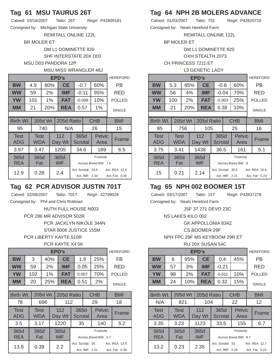## **Tag 61 MSU TAURUS 26T**

Calved: 03/18/2007 Tatto: 26T Reg#: P42809181

Consigned by: Michigan State University

REMITALL ONLINE 122L

BR MOLER ET

DM L1 DOMINETTE 820 SHF INTERSTATE 20X D03

MSU D03 PANDORA 12P

### MSU MISS WRANGLER 48J

|                    | EPD's |                           |         |                                                        |                                                                                |                        |         |                       |  |               |  |  |
|--------------------|-------|---------------------------|---------|--------------------------------------------------------|--------------------------------------------------------------------------------|------------------------|---------|-----------------------|--|---------------|--|--|
| BW                 |       | 4.9                       |         | 80%                                                    | <b>CE</b>                                                                      |                        | $-0.7$  | 60%                   |  | РB            |  |  |
| <b>WW</b>          |       | 59                        |         | 2%                                                     | <b>IMF</b>                                                                     |                        | $-0.11$ | 95%                   |  | RED           |  |  |
| <b>YW</b>          |       | 101                       |         | $1\%$                                                  | FAT                                                                            | $-0.008$               |         | 10%                   |  | <b>POLLED</b> |  |  |
| MМ                 |       | 21                        |         | 20%                                                    | <b>REA</b>                                                                     |                        | 0.57    | 1%                    |  | <b>SINGLE</b> |  |  |
|                    |       |                           |         |                                                        |                                                                                |                        |         |                       |  |               |  |  |
| Birth Wt.          |       |                           | 205d Wt |                                                        | 205d Ratio                                                                     |                        |         | <b>CHB</b>            |  | <b>BMI</b>    |  |  |
| 95                 |       |                           | 740     |                                                        | N/A                                                                            |                        |         | 26                    |  | 15            |  |  |
| <b>Test</b><br>ADG |       | <b>Test</b><br><b>WDA</b> |         |                                                        | 112<br>Day Wt                                                                  | 365d<br><b>Scrotal</b> |         | <b>Pelvic</b><br>Area |  | Frame         |  |  |
| 3.97               |       | 3.47                      |         |                                                        | 1205                                                                           | 189<br>34.6            |         |                       |  | 6.5           |  |  |
| 365d<br><b>REA</b> |       | 365d<br>Fat               |         | 365d<br>Footnote<br><b>IMF</b><br>Across Breed BW: 7.6 |                                                                                |                        |         |                       |  |               |  |  |
| 12.9               |       | 0.28                      |         |                                                        | Act. REA 12.4<br>Act. Scrotal: 33.5<br>2.4<br>Act. IMF: 2.34<br>Act. Fat: 0.26 |                        |         |                       |  |               |  |  |

# **Tag 62 PCR ADVISOR JUSTIN 701T**

Calved: 02/08/2007 Tatto: 701T Reg#: 42799028 Consigned by: Phil and Chris Rottman HUTH FULL HOUSE N003 PCR 286 MR ADVISOR 502R PCR JACKLYN NIKOLE 344N STAR 8006 JUSTICE 155M PCR LIBERTY KAYTE 510R

PCR KAYTE X4 5K

|                    |                    | <b>HEREFORD</b> |                     |                    |                                                      |      |                       |  |               |
|--------------------|--------------------|-----------------|---------------------|--------------------|------------------------------------------------------|------|-----------------------|--|---------------|
| <b>BW</b>          | 3                  | 40%             |                     | <b>CE</b>          |                                                      | 1.9  | 25%                   |  | FB            |
| <b>WW</b>          | 59                 |                 | <b>IMF</b><br>2%    |                    | 0.05                                                 |      | 25%                   |  | RED           |
| <b>YW</b>          | 102                |                 | <b>FAT</b><br>$1\%$ |                    | 0.007                                                |      | 70%                   |  | <b>POLLED</b> |
| MМ                 | 20                 | 25%             |                     | <b>REA</b>         |                                                      | 0.51 | 2%                    |  | <b>SINGLE</b> |
|                    |                    |                 |                     |                    |                                                      |      |                       |  |               |
| Birth Wt.          |                    | 205d Wt         |                     | 205d Ratio         |                                                      |      | <b>CHB</b>            |  | BMI           |
| 78                 |                    | 696             |                     | 112                |                                                      |      | 29                    |  | 18            |
| <b>Test</b><br>ADG | <b>Test</b><br>WDA |                 |                     | 112<br>Day Wt      | 365d<br>Scrotal                                      |      | <b>Pelvic</b><br>Area |  | Frame         |
| 3.5                | 3.17               |                 |                     | 1220               | 35                                                   |      | 140                   |  | 5.2           |
| 365d<br><b>REA</b> | 365d               |                 |                     | 365d<br><b>IMF</b> | Footnote<br>Across Breed BW: 5.7                     |      |                       |  |               |
|                    | Fat                |                 |                     |                    |                                                      |      |                       |  | Act. REA 13.9 |
| 13.8               | 0.39               |                 | 2.2                 |                    | Act. Scrotal: 35<br>Act. IMF: 2.21<br>Act. Fat: 0.39 |      |                       |  |               |

# **Tag 64 NPH 2B MOLERS ADVANCE**

Calved: 01/03/2007 Tatto: 701 Reg#: P42820710 Consigned by: Neals Hereford Farm

REMITALL ONLINE 122L

BP MOLER ET

DM L1 DOMINETTE 820

OXH STEALTH 2073

CH PRINCESS 7211 ET

| <b>L3 GENETIC LADY</b> |
|------------------------|
|------------------------|

|                    | EPD's |                    |         |           |                    |                                      |                 |  |                       |                               |               |  |
|--------------------|-------|--------------------|---------|-----------|--------------------|--------------------------------------|-----------------|--|-----------------------|-------------------------------|---------------|--|
| <b>BW</b>          |       | 5.3                | 85%     |           | <b>CE</b>          |                                      | $-0.6$          |  | 60%                   |                               | РB            |  |
| <b>WW</b>          |       | 56                 |         | 4%<br>IMF |                    |                                      | $-0.04$         |  | 70%                   |                               | RED           |  |
| <b>YW</b>          |       | 100                |         | 2%        | <b>FAT</b>         |                                      | $-0.003$        |  | 25%                   |                               | <b>POLLED</b> |  |
| <b>MM</b>          |       | 21                 |         | 20%       | <b>REA</b>         |                                      | 0.38            |  | 10%                   |                               | <b>SINGLE</b> |  |
|                    |       |                    |         |           |                    |                                      |                 |  |                       |                               |               |  |
| Birth Wt.          |       |                    | 205d Wt |           | 205d Ratio         | <b>CHB</b>                           |                 |  |                       | BMI                           |               |  |
| 85                 |       |                    | 756     |           | 105                |                                      |                 |  | 25                    |                               | 16            |  |
| <b>Test</b><br>ADG |       | <b>Test</b><br>WDA |         |           | 112<br>Day Wt      |                                      | 365d<br>Scrotal |  | <b>Pelvic</b><br>Area |                               | Frame         |  |
| 3.75               |       | 3.41               |         |           | 1438               |                                      | 36.5            |  | 161                   |                               | 5.1           |  |
| 365d<br><b>REA</b> |       | 365d<br>Fat        |         |           | 365d<br><b>IMF</b> | Footnote<br>Across Breed BW: 8       |                 |  |                       |                               |               |  |
| 15                 |       | 0.21               |         |           | 2.14               | Act. Scrotal: 35.5<br>Act. IMF: 2.21 |                 |  |                       | Act RFA 156<br>Act. Fat: 0.23 |               |  |

## **Tag 65 NPH 002 BOOMER 15T**

Calved: 03/17/2007 Tatto: 15T Reg#: P42837278

Consigned by: Neals Hereford Farm

JSF 37 271 DEVO 23C

NS LAKES KILO 002

GK APPOLLONIA 834Z

CS BOOMER 29F

NPH FPC 29F MS KEYBOOM 29R ET

RU 20X SUSAN 54C

|                           | EPD's |                    |         |                                                        |               |                  |                |                       |     |                                 |  |  |
|---------------------------|-------|--------------------|---------|--------------------------------------------------------|---------------|------------------|----------------|-----------------------|-----|---------------------------------|--|--|
| <b>BW</b>                 |       | 6                  | 95%     |                                                        | <b>CE</b>     |                  | 0.4            | 45%                   |     | РB                              |  |  |
| <b>WW</b>                 |       | 57                 | 3%      |                                                        | <b>IMF</b>    |                  | $-0.21$        |                       |     | RED                             |  |  |
| <b>YW</b>                 |       | 98                 |         | <b>FAT</b><br>2%                                       |               | $-0.011$         |                | 10%                   |     | <b>POLLED</b>                   |  |  |
| MМ                        |       | 24                 | 10%     |                                                        | <b>REA</b>    |                  | 0.32           | 15%                   |     | <b>SINGLE</b>                   |  |  |
|                           |       |                    |         |                                                        |               |                  |                |                       |     |                                 |  |  |
| Birth Wt.                 |       |                    | 205d Wt |                                                        | 205d Ratio    |                  |                | <b>CHB</b>            | BMI |                                 |  |  |
| N/A                       |       |                    | 821     |                                                        | 104           |                  |                | 22                    |     | 12                              |  |  |
| <b>Test</b><br><b>ADG</b> |       | <b>Test</b><br>WDA |         |                                                        | 112<br>Day Wt | 365d<br>Scrotal  |                | <b>Pelvic</b><br>Area |     | Frame                           |  |  |
| 3.35                      |       | 3.23               |         |                                                        | 1123          | 33.5             |                | 155                   |     | 6.7                             |  |  |
| 365d<br><b>REA</b>        |       | 365d<br>Fat        |         | Footnote<br>365d<br><b>IMF</b><br>Across Breed BW: 8.7 |               |                  |                |                       |     |                                 |  |  |
| 13.2                      |       | 0.23               |         |                                                        | 2.35          | Act. Scrotal: 33 | Act. IMF: 2.29 |                       |     | Act. REA 12.7<br>Act. Fat: 0.21 |  |  |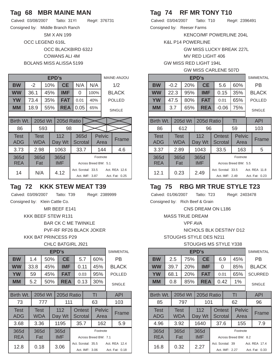## **Tag 68 MBR MAINE MAN**

| Calved: 03/08/2007   Tatto: 31YI  |                 |             |                         | Reg#: |
|-----------------------------------|-----------------|-------------|-------------------------|-------|
| Consigned by: Middle Branch Ranch |                 |             |                         |       |
|                                   |                 | SM X AN 199 |                         |       |
|                                   | OCC LEGEND 616L |             |                         |       |
|                                   |                 |             | OCC BLACKBIRD 632J      |       |
|                                   |                 |             | COWANS ALI 4M           |       |
|                                   |                 |             | BOLANS MISS ALISSA 5199 |       |

|             |  |            | MAINE-ANJOU |     |            |                    |  |  |                      |       |                |
|-------------|--|------------|-------------|-----|------------|--------------------|--|--|----------------------|-------|----------------|
| BW          |  | $-2$       |             | 10% | <b>CE</b>  | N/A                |  |  | N/A                  | 1/2   |                |
| <b>WW</b>   |  | 36.1       |             | 45% | IMF        | 0                  |  |  | 100%                 |       | <b>BLACK</b>   |
| <b>YW</b>   |  | 73.4       |             | 35% | <b>FAT</b> | 0.01               |  |  | 40%                  |       | <b>POLLED</b>  |
| MМ          |  | 18.9       |             | 55% | <b>REA</b> | 0.05               |  |  | 65%                  |       | <b>SINGLE</b>  |
|             |  |            |             |     |            |                    |  |  |                      |       |                |
| Birth Wt.   |  |            | 205d Wt     |     | 205d Ratio |                    |  |  |                      |       |                |
| 86          |  |            | 593         |     | 98         |                    |  |  |                      |       |                |
| <b>Test</b> |  | Test       |             |     | 112        | 365d               |  |  | <b>Pelvic</b>        | Frame |                |
| <b>ADG</b>  |  | <b>WDA</b> |             |     | Day Wt     | <b>Scrotal</b>     |  |  |                      | Area  |                |
| 3.73        |  | 2.98       |             |     | 1063       | 33.7               |  |  |                      | 144   | 4.6            |
| 365d        |  | 365d       |             |     | 365d       |                    |  |  | Footnote             |       |                |
| <b>REA</b>  |  | Fat        |             |     | <b>IMF</b> |                    |  |  | Across Breed BW: 5.1 |       |                |
| 14<br>N/A   |  |            |             |     | 4.12       | Act. Scrotal: 33.5 |  |  |                      |       | Act. REA 12.6  |
|             |  |            |             |     |            | Act. IMF: 3.87     |  |  |                      |       | Act. Fat: 0.25 |

## **Tag 72 KKK STEW MEAT T39**

Calved: 03/09/2007 Tatto: T39 Reg#: 2389999

376731

Consigned by: Klein Cattle Co.

MR BEEF E141

KKK BEEF STEW R131

BAR CK C ME TWINKLE

PVF-RF RF26 BLACK JOKER

KKK BAT PRINCESS P29

CHLC BATGIRL J921

|                    | EPD's                                    |                    |     |                   |                    |                                                                         |      |                          |                |  |               |  |  |
|--------------------|------------------------------------------|--------------------|-----|-------------------|--------------------|-------------------------------------------------------------------------|------|--------------------------|----------------|--|---------------|--|--|
| <b>BW</b>          |                                          | 1.4                | 50% |                   | <b>CE</b>          |                                                                         | 5.7  |                          | 60%            |  | РB            |  |  |
| <b>WW</b>          |                                          | 33.8               |     | <b>IMF</b><br>45% |                    |                                                                         | 0.11 |                          | 45%            |  | <b>BLACK</b>  |  |  |
| <b>YW</b>          |                                          | 59                 |     | 45%<br><b>FAT</b> |                    |                                                                         | 0.03 |                          | 95%            |  | <b>POLLED</b> |  |  |
| MМ                 |                                          | 5.2                |     | 50%               | <b>REA</b>         |                                                                         |      | 0.13                     | 30%            |  | <b>SINGLE</b> |  |  |
|                    |                                          |                    |     |                   |                    |                                                                         |      |                          |                |  |               |  |  |
|                    | Birth Wt.<br>205d Wt<br>TI<br>205d Ratio |                    |     |                   |                    |                                                                         |      |                          |                |  | <b>API</b>    |  |  |
| 73                 |                                          |                    | 777 |                   | 111                |                                                                         |      |                          | 63             |  | 103           |  |  |
| <b>Test</b><br>ADG |                                          | <b>Test</b><br>WDA |     |                   | 112<br>Day Wt      |                                                                         |      | <b>Ontest</b><br>Scrotal | Pelvic<br>Area |  | Frame         |  |  |
| 3.68               |                                          | 3.36               |     |                   | 1195               |                                                                         | 35.7 |                          | 162            |  | 5.9           |  |  |
| 365d<br><b>REA</b> |                                          | 365d<br>Fat        |     |                   | 365d<br><b>IMF</b> | Footnote<br>Across Breed BW: 7.1                                        |      |                          |                |  |               |  |  |
| 12.8               |                                          | 0.18               |     |                   | 3.06               | Act. Scrotal: 35.5<br>Act. REA 12.4<br>Act. IMF: 3.06<br>Act. Fat: 0.18 |      |                          |                |  |               |  |  |

## **Tag 74 RF MR TONY T10**

Calved: 03/04/2007 Tatto: T10 Reg#: 2396491 Consigned by: Reeser Farms

KENCO/MF POWERLINE 204L

K&L P14 POWERLINE

GW MISS LUCKY BREAK 227L

MV RED LIGHT 406

GW MISS RED LIGHT 194L

|  | <b>GW MISS CARLENE 507D</b> |  |  |  |
|--|-----------------------------|--|--|--|
|--|-----------------------------|--|--|--|

|                           | EPD's |                    |         |      |               |         |      |                          |                       |               |                |  |
|---------------------------|-------|--------------------|---------|------|---------------|---------|------|--------------------------|-----------------------|---------------|----------------|--|
| <b>BW</b>                 |       | $-0.2$             |         | 20%  | <b>CE</b>     |         | 5.6  |                          | 60%                   |               | РB             |  |
| <b>WW</b>                 |       | 22.3               |         | 95%  | IMF           | 0.15    |      | 35%                      |                       | <b>BLACK</b>  |                |  |
| <b>YW</b>                 |       | 47.5               |         | 80%  | <b>FAT</b>    | 0.01    |      | 65%                      |                       | <b>POLLED</b> |                |  |
| <b>MM</b>                 |       | 3.7                |         | 65%  | <b>REA</b>    | $-0.06$ |      | 75%                      |                       | <b>SINGLE</b> |                |  |
|                           |       |                    |         |      |               |         |      |                          |                       |               |                |  |
| Birth Wt.                 |       |                    | 205d Wt |      | 205d Ratio    | TI      |      |                          |                       |               | API            |  |
| 86                        |       |                    | 612     |      | 96            |         |      |                          | 59                    |               | 103            |  |
| <b>Test</b><br><b>ADG</b> |       | <b>Test</b><br>WDA |         |      | 112<br>Day Wt |         |      | Ontest<br><b>Scrotal</b> | <b>Pelvic</b><br>Area |               | Frame          |  |
| 3.37                      |       | 2.89               |         |      | 1043          |         | 33.5 |                          | 163                   |               | 5              |  |
| 365d                      |       | 365d               |         | 365d |               |         |      |                          | Footnote              |               |                |  |
| <b>REA</b>                |       | Fat                |         |      | <b>IMF</b>    |         |      |                          | Across Breed BW: 5.5  |               |                |  |
| 12.1                      |       | 0.23               |         |      | 2.49          |         |      | Act. Scrotal: 33.5       |                       |               | Act. REA 11.8  |  |
|                           |       |                    |         |      |               |         |      | Act. IMF: 2.49           |                       |               | Act. Fat: 0.23 |  |

## **Tag 75 RBG MR TRUE STYLE T23**

Calved: 01/06/2007 Tatto: T23 Reg#: 2403478

Consigned by: Rich Beef & Grain

CNS DREAM ON L186

MASS TRUE DREAM

VPF AVA

NICHOLS BLK DESTINY D12

STOUGHS STYLE DES N211

STOUGHS MS STYLE Y338

|                           | EPD's |             |                            |  |               |            |                   |                                    |                                  |                |                                 |  |  |
|---------------------------|-------|-------------|----------------------------|--|---------------|------------|-------------------|------------------------------------|----------------------------------|----------------|---------------------------------|--|--|
| <b>BW</b>                 |       | 2.5         | 75%                        |  | <b>CE</b>     |            | 6.9               |                                    | 45%                              |                | РB                              |  |  |
| <b>WW</b>                 |       | 39.7        | <b>20%</b>                 |  | IMF           |            | 0                 |                                    | 85%                              |                | <b>BLACK</b>                    |  |  |
| <b>YW</b>                 |       | 68.1        | 20%                        |  | FAT           | 0.01       |                   | 65%                                |                                  | <b>SCURRED</b> |                                 |  |  |
| <b>MM</b>                 |       | 0.8         | 85%                        |  | <b>REA</b>    | 0.42<br>1% |                   |                                    |                                  | <b>SINGLE</b>  |                                 |  |  |
|                           |       |             |                            |  |               |            |                   |                                    |                                  |                |                                 |  |  |
| Birth Wt.                 |       |             | 205d Wt                    |  | 205d Ratio    |            |                   |                                    | TI                               |                | <b>API</b>                      |  |  |
| 85                        |       |             | 797                        |  | 101           |            |                   |                                    | 62                               |                | 96                              |  |  |
| <b>Test</b><br><b>ADG</b> |       | Test<br>WDA |                            |  | 112<br>Day Wt |            | Ontest<br>Scrotal |                                    | <b>Pelvic</b><br>Area            |                | Frame                           |  |  |
| 4.96                      |       | 3.92        |                            |  | 1640          |            | 37.6              |                                    | 155                              |                | 7.9                             |  |  |
| 365d<br><b>REA</b>        |       |             | 365d<br>365d<br>IMF<br>Fat |  |               |            |                   |                                    | Footnote<br>Across Breed BW: 8.2 |                |                                 |  |  |
| 16.8                      |       | 0.32        |                            |  | 2.27          |            |                   | Act. Scrotal: 39<br>Act. IMF: 2.27 |                                  |                | Act. REA 17.4<br>Act. Fat: 0.33 |  |  |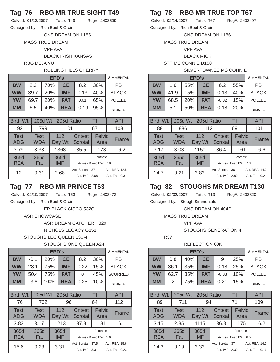## **Tag 76 RBG MR TRUE SIGHT T49**

Calved: 01/13/2007 Tatto: T49 Reg#: 2403509

Consigned by: Rich Beef & Grain

CNS DREAM ON L186

MASS TRUE DREAM

VPF AVA

BLACK IRISH KANSAS

RBG DEJA VU

### ROLLING HILLS CHERRY

|                    | EPD's |             |         |                                                                               |                    |                                  |         |                       |  |               |  |  |  |
|--------------------|-------|-------------|---------|-------------------------------------------------------------------------------|--------------------|----------------------------------|---------|-----------------------|--|---------------|--|--|--|
| <b>BW</b>          |       | 2.2         |         | 70%                                                                           | <b>CE</b>          |                                  | 8.2     | 30%                   |  | РB            |  |  |  |
| <b>WW</b>          |       | 39.7        | 20%     |                                                                               | <b>IMF</b>         |                                  | 0.13    | 40%                   |  | <b>BLACK</b>  |  |  |  |
| <b>YW</b>          |       | 69.7        |         | 20%                                                                           | <b>FAT</b>         | 0.01                             |         | 65%                   |  | <b>POLLED</b> |  |  |  |
| <b>MM</b>          |       | 6.5         |         | 40%<br><b>REA</b>                                                             |                    |                                  | $-0.19$ | 95%                   |  | <b>SINGLE</b> |  |  |  |
|                    |       |             |         |                                                                               |                    |                                  |         |                       |  |               |  |  |  |
| Birth Wt.          |       |             | 205d Wt | TI                                                                            |                    | <b>API</b>                       |         |                       |  |               |  |  |  |
| 92                 |       |             | 799     |                                                                               | 101                | 67                               |         |                       |  | 108           |  |  |  |
| <b>Test</b><br>ADG |       | Test<br>WDA |         |                                                                               | 112<br>Day Wt      | Ontest<br>Scrotal                |         | <b>Pelvic</b><br>Area |  | Frame         |  |  |  |
| 3.79               |       | 3.33        |         |                                                                               | 1368               | 35.5                             |         | 173                   |  | 6.2           |  |  |  |
| 365d<br><b>REA</b> |       | 365d<br>Fat |         |                                                                               | 365d<br><b>IMF</b> | Footnote<br>Across Breed BW: 7.9 |         |                       |  |               |  |  |  |
| 12                 |       | 0.31        |         | Act. Scrotal: 37<br>Act. REA 12.5<br>2.68<br>Act. IMF: 2.68<br>Act. Fat: 0.31 |                    |                                  |         |                       |  |               |  |  |  |

## **Tag 77 RBG MR PRINCE T63**

Calved: 02/10/2007 Tatto: T63 Reg#: 2403472

Consigned by: Rich Beef & Grain

ER BLACK CISCO 532C

#### ASR SHOWCASE

ASR DREAM CATCHER H829

NICHOLS LEGACY G151

## STOUGHS LEG QUEEN 130M

### STOUGHS ONE QUEEN A24

|                           | EPD's                       |                    |      |            |               |                                     |                          |                |                       |  |                |  |  |  |
|---------------------------|-----------------------------|--------------------|------|------------|---------------|-------------------------------------|--------------------------|----------------|-----------------------|--|----------------|--|--|--|
| <b>BW</b>                 |                             | $-0.1$             | 20%  |            | <b>CE</b>     |                                     | 8.2                      |                | 30%                   |  | РB             |  |  |  |
| <b>WW</b>                 |                             | 28.1               |      | 75%        | <b>IMF</b>    |                                     | 0.22                     |                | 15%                   |  | <b>BLACK</b>   |  |  |  |
| <b>YW</b>                 |                             | 50.4               | 75%  |            | <b>FAT</b>    |                                     | 0                        |                | 45%                   |  | <b>SCURRED</b> |  |  |  |
| MМ                        |                             | -3.6               | 100% | <b>REA</b> |               | 0.25<br>10%                         |                          |                | <b>SINGLE</b>         |  |                |  |  |  |
|                           |                             |                    |      |            |               |                                     |                          |                |                       |  |                |  |  |  |
| Birth Wt.                 | 205d Wt<br>205d Ratio<br>TI |                    |      |            |               |                                     |                          |                |                       |  | <b>API</b>     |  |  |  |
| 76                        |                             |                    | 762  |            | 96            | 64                                  |                          |                |                       |  | 112            |  |  |  |
| <b>Test</b><br><b>ADG</b> |                             | <b>Test</b><br>WDA |      |            | 112<br>Day Wt |                                     | <b>Ontest</b><br>Scrotal |                | <b>Pelvic</b><br>Area |  | Frame          |  |  |  |
| 3.82                      |                             | 3.17               |      |            | 1213          |                                     | 37.8                     |                | 181                   |  | 6.1            |  |  |  |
| 365d                      |                             | 365d               |      |            | 365d          | Footnote                            |                          |                |                       |  |                |  |  |  |
| <b>REA</b>                |                             | Fat                |      |            | <b>IMF</b>    |                                     |                          |                | Across Breed BW: 5.6  |  |                |  |  |  |
| 15.6                      | 3.31<br>0.23                |                    |      |            |               | Act. Scrotal: 37.5<br>Act. REA 15.6 |                          |                |                       |  |                |  |  |  |
|                           |                             |                    |      |            |               |                                     |                          | Act. IMF: 3.31 |                       |  | Act. Fat: 0.23 |  |  |  |

# **Tag 78 RBG MR TRUE TOP T67**

Calved: 02/14/2007 Tatto: T67 Reg#: 2403497 Consigned by: Rich Beef & Grain

CNS DREAM ON L186

MASS TRUE DREAM

VPF AVA

BLACK MICK

STF MS CONNIE D150

#### SILVERTOWNES MS CONNIE

|                           | EPD's                                    |                    |     |     |                    |                                    |         |      |                                  |  |                                 |  |  |
|---------------------------|------------------------------------------|--------------------|-----|-----|--------------------|------------------------------------|---------|------|----------------------------------|--|---------------------------------|--|--|
| <b>BW</b>                 |                                          | 1.6                |     | 55% | <b>CE</b>          |                                    | 6.2     |      | 55%                              |  | PB                              |  |  |
| <b>WW</b>                 |                                          | 41.9               |     | 15% | IMF                |                                    | 0.13    |      | 40%                              |  | <b>BLACK</b>                    |  |  |
| <b>YW</b>                 |                                          | 68.5               |     | 20% | <b>FAT</b>         |                                    | $-0.02$ |      | 15%                              |  | <b>POLLED</b>                   |  |  |
| MМ                        |                                          | 5.1                |     | 50% | <b>REA</b>         |                                    |         | 0.18 | 20%                              |  | <b>SINGLE</b>                   |  |  |
|                           |                                          |                    |     |     |                    |                                    |         |      |                                  |  |                                 |  |  |
|                           | Birth Wt.<br>205d Wt<br>205d Ratio<br>ΤI |                    |     |     |                    |                                    |         |      |                                  |  | <b>API</b>                      |  |  |
| 88                        |                                          |                    | 886 |     | 112                | 69                                 |         |      |                                  |  | 101                             |  |  |
| <b>Test</b><br><b>ADG</b> |                                          | <b>Test</b><br>WDA |     |     | 112<br>Day Wt      | <b>Ontest</b><br>Scrotal           |         |      | <b>Pelvic</b><br>Area            |  | Frame                           |  |  |
| 3.17                      |                                          | 3.03               |     |     | 1150               | 36.4                               |         |      | 161                              |  | 6.6                             |  |  |
| 365d<br>REA               |                                          | 365d<br>Fat        |     |     | 365d<br><b>IMF</b> |                                    |         |      | Footnote<br>Across Breed BW: 7.3 |  |                                 |  |  |
| 14.7                      |                                          | 0.21               |     |     | 2.82               | Act. Scrotal: 36<br>Act. IMF: 2.82 |         |      |                                  |  | Act. REA 14.7<br>Act. Fat: 0.21 |  |  |

## **Tag 82 STOUGHS MR DREAM T130**

Calved: 02/02/2007 Tatto: T13 Reg#: 2403820

Consigned by: Stough Simmentals

CNS DREAM ON 404P

MASS TRUE DREAM

VPF AVA

STOUGHS GENERATION 4

R37

#### REFLECTION 60K

|                    | <b>EPD's</b> |             |             |     |                    |                          |      |     |                                  |               |                                 |  |  |
|--------------------|--------------|-------------|-------------|-----|--------------------|--------------------------|------|-----|----------------------------------|---------------|---------------------------------|--|--|
| <b>BW</b>          |              | 0.8         | 40%         |     | <b>CE</b>          |                          | 9    |     | 25%                              |               | РB                              |  |  |
| <b>WW</b>          |              | 36.1        |             | 35% | <b>IMF</b>         |                          | 0.18 |     | 25%                              |               | <b>BLACK</b>                    |  |  |
| <b>YW</b>          |              | 62.7        |             | 35% | <b>FAT</b>         | $-0.03$                  |      | 10% |                                  | <b>POLLED</b> |                                 |  |  |
| MМ                 |              | 2           |             |     | 75%<br><b>REA</b>  |                          | 0.21 |     | 15%                              |               | <b>SINGLE</b>                   |  |  |
|                    |              |             |             |     |                    |                          |      |     |                                  |               |                                 |  |  |
| Birth Wt.          |              |             | 205d Wt     |     | 205d Ratio         | ΤI                       |      |     |                                  |               | <b>API</b>                      |  |  |
| 89                 |              |             | 711         | 94  |                    |                          |      |     | 71                               |               | 109                             |  |  |
| <b>Test</b><br>ADG |              | Test<br>WDA |             |     | 112<br>Day Wt      | <b>Ontest</b><br>Scrotal |      |     | <b>Pelvic</b><br>Area            |               | Frame                           |  |  |
| 3.15               |              | 2.85        |             |     | 1115               |                          | 36.8 |     | 175                              |               | 6.2                             |  |  |
| 365d<br><b>REA</b> |              |             | 365d<br>Fat |     | 365d<br><b>IMF</b> |                          |      |     | Footnote<br>Across Breed BW: 6.5 |               |                                 |  |  |
| 14.3               |              | 0.19        |             |     | 2.32               | Act. Scrotal: 37         |      |     | Act. IMF: 2.32                   |               | Act. REA 14.3<br>Act. Fat: 0.19 |  |  |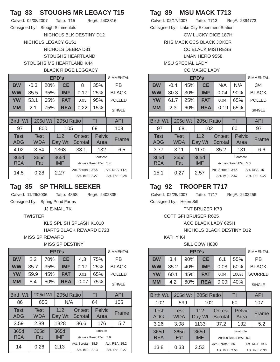## **Tag 83 STOUGHS MR LEGACY T15**

Consigned by: Stough Simmentals

NICHOLS BLK DESTINY D12 NICHOLS LEGACY G151 NICHOLS DEBRA D81 STOUGHS HEARTLAND STOUGHS MS HEARTLAND K44

### BLACK RIDGE LEGGACY

|                           |                           |         | <b>SIMMENTAL</b>                                                                |                    |                          |      |                                  |  |               |
|---------------------------|---------------------------|---------|---------------------------------------------------------------------------------|--------------------|--------------------------|------|----------------------------------|--|---------------|
| <b>BW</b>                 | $-0.3$                    | 20%     |                                                                                 | <b>CE</b>          |                          | 8    | 35%                              |  | PB            |
| <b>WW</b>                 | 35.5                      |         | 35%                                                                             | IMF                |                          | 0.17 | 25%                              |  | <b>BLACK</b>  |
| <b>YW</b>                 | 53.1                      | 65%     |                                                                                 | <b>FAT</b>         |                          | 0.03 | 95%                              |  | <b>POLLED</b> |
| <b>MM</b>                 | 2.1                       |         | 75%<br>REA                                                                      |                    |                          | 0.22 | 15%                              |  | <b>SINGLE</b> |
|                           |                           |         |                                                                                 |                    |                          |      |                                  |  |               |
| Birth Wt.                 |                           | 205d Wt |                                                                                 | 205d Ratio         |                          |      | TI                               |  | <b>API</b>    |
| 97                        |                           | 800     |                                                                                 | 105                | 69                       |      |                                  |  | 103           |
| <b>Test</b><br><b>ADG</b> | <b>Test</b><br><b>WDA</b> |         |                                                                                 | 112<br>Day Wt      | <b>Ontest</b><br>Scrotal |      | <b>Pelvic</b><br>Area            |  | Frame         |
| 4.02                      | 3.54                      |         |                                                                                 | 1363               | 38.1                     |      | 132                              |  | 6.5           |
| 365d<br><b>REA</b>        | 365d<br>Fat               |         |                                                                                 | 365d<br><b>IMF</b> |                          |      | Footnote<br>Across Breed BW: 5.4 |  |               |
| 14.5                      | 0.28                      |         | Act. Scrotal: 37.5<br>Act. REA 14.4<br>2.27<br>Act. IMF: 2.27<br>Act. Fat: 0.28 |                    |                          |      |                                  |  |               |

## **Tag 85 SP THRILL SEEKER**

Calved: 11/26/2006 Tatto: 486S Reg#: 2402835

Consigned by: Spring Pond Farms

JJ E-MAIL 7K

### **TWISTER**

KLS SPLISH SPLASH K1010

HARTS BLACK REWARD D723

MISS SP REWARD

#### MISS SP DESTINY

|                           | EPD's                 |             |     |                   |               |          |                   |                    |                       |               |                |  |  |
|---------------------------|-----------------------|-------------|-----|-------------------|---------------|----------|-------------------|--------------------|-----------------------|---------------|----------------|--|--|
| <b>BW</b>                 |                       | 2.2         |     | 70%               | <b>CE</b>     |          | 4.3               |                    | 75%                   |               | РB             |  |  |
| <b>WW</b>                 |                       | 35.7        |     | 35%               | IMF           |          | 0.17              |                    | 25%                   |               | <b>BLACK</b>   |  |  |
| <b>YW</b>                 |                       | 59.9        |     | 45%               | <b>FAT</b>    | 0.01     |                   | 65%                |                       | <b>POLLED</b> |                |  |  |
| <b>MM</b>                 |                       | 5.4         |     | 50%<br><b>REA</b> |               |          | $-0.07$           |                    | 75%                   |               | <b>SINGLE</b>  |  |  |
|                           |                       |             |     |                   |               |          |                   |                    |                       |               |                |  |  |
| Birth Wt.                 | 205d Wt<br>205d Ratio |             |     |                   |               |          |                   |                    | TI                    |               | <b>API</b>     |  |  |
| 86                        |                       |             | 655 |                   | N/A           | 64       |                   |                    |                       |               | 105            |  |  |
| <b>Test</b><br><b>ADG</b> |                       | Test<br>WDA |     |                   | 112<br>Day Wt |          | Ontest<br>Scrotal |                    | <b>Pelvic</b><br>Area |               | Frame          |  |  |
| 3.59                      |                       | 2.89        |     |                   | 1328          |          | 36.6              |                    | 176                   |               | 5.7            |  |  |
| 365d                      |                       | 365d        |     |                   | 365d          | Footnote |                   |                    |                       |               |                |  |  |
| <b>REA</b>                |                       | Fat         |     |                   | <b>IMF</b>    |          |                   |                    | Across Breed BW: 7.9  |               |                |  |  |
| 14                        |                       |             |     |                   | 2.13          |          |                   | Act. Scrotal: 38.5 |                       |               | Act. REA 15.2  |  |  |
|                           | 0.26                  |             |     |                   |               |          |                   | Act. IMF: 2.13     |                       |               | Act. Fat: 0.27 |  |  |

# **Tag 89 MSU MACK T713**

Calved: 02/17/2007 Tatto: T713 Reg#: 2394773 Consigned by: Lake City Experiment Station GW LUCKY DICE 187H RHS MACK CCS BLACK JOKER CC BLACK MISTRESS LMAN HERO 9558 MSU SPECIAL LADY CC MAGIC LADY

|                    |                    |         |     | <b>EPD's</b>              |                    |                   |                                  |               | <b>SIMMENTAL</b>              |  |
|--------------------|--------------------|---------|-----|---------------------------|--------------------|-------------------|----------------------------------|---------------|-------------------------------|--|
| <b>BW</b>          | $-0.4$             | 45%     |     | <b>CE</b>                 |                    | N/A               | N/A                              |               | 3/4                           |  |
| <b>WW</b>          | 30.3               |         | 30% | <b>IMF</b><br>0.04<br>90% |                    |                   |                                  |               | <b>BLACK</b>                  |  |
| YW                 | 61.7               |         | 25% | <b>FAT</b>                |                    | 0.04              | 65%                              |               | <b>POLLED</b>                 |  |
| <b>MM</b>          | 2.3                |         | 60% | <b>REA</b>                |                    | $-0.19$           | 65%                              | <b>SINGLE</b> |                               |  |
|                    |                    |         |     |                           |                    |                   |                                  |               |                               |  |
| Birth Wt.          |                    | 205d Wt |     | 205d Ratio                |                    |                   | TI                               |               | <b>API</b>                    |  |
| 97                 |                    | 681     |     | 102                       |                    |                   | 60                               | 97            |                               |  |
| Test<br><b>ADG</b> | Test<br><b>WDA</b> |         |     | 112<br>Day Wt             |                    | Ontest<br>Scrotal | <b>Pelvic</b><br>Area            |               | Frame                         |  |
| 3.77               | 3.11               |         |     | 1170                      |                    | 35.2              | 131                              |               | 6.6                           |  |
| 365d<br><b>REA</b> | 365d<br>Fat        |         |     | 365d<br><b>IMF</b>        |                    |                   | Footnote<br>Across Breed BW: 5.3 |               |                               |  |
| 15.1               | 0.27               |         |     | 2.57                      | Act. Scrotal: 34.5 | Act. IMF: 2.57    |                                  |               | Act. REA 15<br>Act. Fat: 0.27 |  |

## **Tag 92 TROOPER T717**

Calved: 02/25/2007 Tatto: T717 Reg#: 2402256

Consigned by: Helen Sill

TNT BRUZER K73

COTT GFI BRUISER R625

ACC BLACK LADY 625H

NICHOLS BLACK DESTINY D12

### KATHY K4

#### SILL COW H800

|                    |                           |            |                                   | <b>EPD's</b>              |                                                                       |      |                |                       |               | <b>SIMMENTAL</b> |
|--------------------|---------------------------|------------|-----------------------------------|---------------------------|-----------------------------------------------------------------------|------|----------------|-----------------------|---------------|------------------|
| <b>BW</b>          | 3.4                       | 90%        |                                   | <b>CE</b>                 |                                                                       | 6.1  |                | 55%                   |               | РB               |
| <b>WW</b>          | 35.2                      | 40%<br>IMF |                                   |                           |                                                                       | 0.08 |                | 60%                   |               | <b>BLACK</b>     |
| <b>YW</b>          | 60.1                      |            | <b>FAT</b><br>45%<br>0.04<br>100% |                           |                                                                       |      | <b>SCURRED</b> |                       |               |                  |
| <b>MM</b>          | 4.2                       |            | 60%                               | 0.09<br><b>REA</b><br>40% |                                                                       |      |                |                       | <b>SINGLE</b> |                  |
|                    |                           |            |                                   |                           |                                                                       |      |                |                       |               |                  |
| Birth Wt.          |                           | 205d Wt    |                                   | 205d Ratio                |                                                                       |      |                | TI                    |               | <b>API</b>       |
| 102                |                           | 599        |                                   | 102                       |                                                                       |      |                | 60                    |               | 107              |
| <b>Test</b><br>ADG | <b>Test</b><br><b>WDA</b> |            |                                   | 112<br>Day Wt             | <b>Ontest</b><br>Scrotal                                              |      |                | <b>Pelvic</b><br>Area |               | Frame            |
| 3.26               | 3.08                      |            |                                   | 1133                      |                                                                       | 37.2 |                | 132                   |               | 5.2              |
| 365d<br>REA        | 365d<br>Fat               |            |                                   | 365d<br><b>IMF</b>        | Footnote<br>Across Breed BW: 9.1                                      |      |                |                       |               |                  |
| 13.8               | 0.33                      |            |                                   | 2.53                      | Act. Scrotal: 36<br>Act. REA 13.6<br>Act. IMF: 2.53<br>Act. Fat: 0.33 |      |                |                       |               |                  |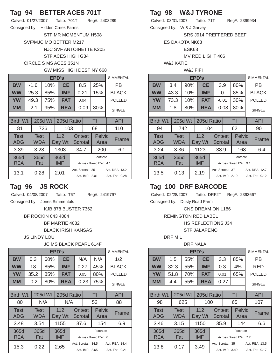# **Tag 94 BETTER ACES 701T**

| Calved: 01/27/2007               | Tatto: 701T | Reg#: 2403289 |
|----------------------------------|-------------|---------------|
| Consigned by: Hidden Creek Farms |             |               |

STF MR MOMENTUM H508

SVF/MJC MO BETTER M217

NJC SVF ANTOINETTE K205

STF ACES HIGH G34

#### CIRCLE S MS ACES 351N

### GW MISS HIGH DESTINY 668

| EPD's                     |  |             |         |     |                    |                                                                       |     |                       |               | <b>SIMMENTAL</b> |  |
|---------------------------|--|-------------|---------|-----|--------------------|-----------------------------------------------------------------------|-----|-----------------------|---------------|------------------|--|
| <b>BW</b>                 |  | -1.6        |         | 10% | <b>CE</b>          |                                                                       | 8.5 | 25%                   |               | РB               |  |
| <b>WW</b>                 |  | 25.3        | 85%     |     | <b>IMF</b>         | 0.21                                                                  |     | 15%                   | <b>BLACK</b>  |                  |  |
| YW                        |  | 49.3        |         | 75% | <b>FAT</b>         | 0.04                                                                  |     |                       |               | <b>POLLED</b>    |  |
| MМ                        |  | $-2.1$      |         | 95% | <b>REA</b>         | $-0.09$                                                               |     | 80%                   | <b>SINGLE</b> |                  |  |
|                           |  |             |         |     |                    |                                                                       |     |                       |               |                  |  |
| Birth Wt.                 |  |             | 205d Wt |     | 205d Ratio         |                                                                       |     | TI                    |               | <b>API</b>       |  |
| 81                        |  |             | 726     |     | 103                |                                                                       |     | 68                    | 110           |                  |  |
| <b>Test</b><br><b>ADG</b> |  | Test<br>WDA |         |     | 112<br>Day Wt      | Ontest<br>Scrotal                                                     |     | <b>Pelvic</b><br>Area |               | Frame            |  |
| 3.39                      |  | 3.28        |         |     | 1303               | 34.7                                                                  |     | 200                   |               | 6.1              |  |
| 365d<br><b>REA</b>        |  | 365d<br>Fat |         |     | 365d<br><b>IMF</b> | Across Breed BW: 4.1                                                  |     |                       |               |                  |  |
| 13.1                      |  | 0.28        |         |     | 2.01               | Act. Scrotal: 35<br>Act. REA 13.2<br>Act. IMF: 2.01<br>Act. Fat: 0.28 |     |                       |               |                  |  |

## **Tag 96 JS ROCK**

Calved: 04/08/2007 Tatto: T67 Reg#: 2419797

Consigned by: Jones Simmentals

KJB 878 BUSTER 7362

#### BF ROCKIN 043 4084

BF MARTIE 4082

BLACK IRISH KANSAS

JS LINDY LOU

### JC MS BLACK PEARL 614F

|                           |                    |         |     | EPD's              |                                                                         |  |                   |                       |              | <b>SIMMENTAL</b> |  |
|---------------------------|--------------------|---------|-----|--------------------|-------------------------------------------------------------------------|--|-------------------|-----------------------|--------------|------------------|--|
| <b>BW</b>                 | 0.3                | 60%     |     | <b>CE</b>          |                                                                         |  | N/A               | N/A                   |              | 1/2              |  |
| <b>WW</b>                 | 18                 |         | 85% | IMF                | 0.27                                                                    |  | 45%               |                       | <b>BLACK</b> |                  |  |
| <b>YW</b>                 | 35.2               |         | 85% |                    | <b>FAT</b><br>80%<br>0.05                                               |  |                   |                       |              | <b>POLLED</b>    |  |
| MМ                        | -0.2               |         | 80% | <b>REA</b>         | 75%<br>$-0.23$                                                          |  |                   |                       |              | <b>SINGLE</b>    |  |
|                           |                    |         |     |                    |                                                                         |  |                   |                       |              |                  |  |
| Birth Wt.                 |                    | 205d Wt |     | 205d Ratio         |                                                                         |  |                   | TI                    |              | <b>API</b>       |  |
| 80                        |                    | N/A     |     | N/A                |                                                                         |  |                   | 52                    |              | 88               |  |
| <b>Test</b><br><b>ADG</b> | <b>Test</b><br>WDA |         |     | 112<br>Day Wt      |                                                                         |  | Ontest<br>Scrotal | <b>Pelvic</b><br>Area |              | Frame            |  |
| 3.48                      | 3.54               |         |     | 1155               | 37.6                                                                    |  |                   | 154                   |              | 6.9              |  |
| 365d<br><b>REA</b>        | 365d<br>Fat        |         |     | 365d<br><b>IMF</b> | Footnote<br>Across Breed BW: 6                                          |  |                   |                       |              |                  |  |
| 15.3                      | 0.22               |         |     | 2.65               | Act. Scrotal: 34.5<br>Act. REA 14.4<br>Act. IMF: 2.65<br>Act. Fat: 0.21 |  |                   |                       |              |                  |  |

## **Tag 98 W&J TYRONE**

Calved: 03/31/2007 Tatto: 71T Reg#: 2399934 Consigned by: W & J Garvey

SRS J914 PREFFERED BEEF

ES DAKOTA NK68

ESK68

MV RED LIGHT 406

W&J KATIE

#### W&J FIFI

|           |      | <b>SIMMENTAL</b> |            |         |     |               |
|-----------|------|------------------|------------|---------|-----|---------------|
| <b>BW</b> | 3.4  | 90%              | <b>CE</b>  | 3.9     | 80% | <b>PR</b>     |
| <b>WW</b> | 43.3 | 10%              | <b>IMF</b> | 0       | 85% | <b>BLACK</b>  |
| <b>YW</b> | 73.3 | 10%              | <b>FAT</b> | $-0.01$ | 30% | <b>POLLED</b> |
| <b>MM</b> | 1.8  | 80%              | <b>REA</b> | $-0.08$ | 80% | <b>SINGLE</b> |
|           |      |                  |            |         |     |               |

| <b>Birth Wt.</b>          | <b>205d Wt</b>            |               | 205d Ratio         |                                 |                | TI                               |  | <b>API</b>                      |
|---------------------------|---------------------------|---------------|--------------------|---------------------------------|----------------|----------------------------------|--|---------------------------------|
| 94                        | 742                       |               | 104                |                                 | 62             |                                  |  | 90                              |
| <b>Test</b><br><b>ADG</b> | <b>Test</b><br><b>WDA</b> | 112<br>Day Wt |                    | <b>Ontest</b><br><b>Scrotal</b> |                | <b>Pelvic</b><br>Area            |  | Frame                           |
| 3.24                      | 3.36                      |               | 1123               | 38.9                            |                | 168                              |  | 6.4                             |
| 365d<br><b>REA</b>        | 365d<br>Fat               |               | 365d<br><b>IMF</b> |                                 |                | Footnote<br>Across Breed BW: 9.1 |  |                                 |
| 13.5                      | 0.13                      | 2.19          |                    | Act. Scrotal: 37                | Act. IMF: 2.19 |                                  |  | Act. REA 12.7<br>Act. Fat: 0.12 |

## **Tag 100 DRF BARCODE**

Calved: 02/28/2007 Tatto: DRF2T Reg#: 2393667

Consigned by: Dusty Road Farm

CNS DREAM ON L186

REMINGTON RED LABEL

HS REFLECTIONS J34

STF JALAPENO

#### DRF MIL

#### DRF NALA

|                    |                    |         |     | <b>EPD's</b>       |                                  |                          |                                    |                       |                                 | <b>SIMMENTAL</b> |  |  |
|--------------------|--------------------|---------|-----|--------------------|----------------------------------|--------------------------|------------------------------------|-----------------------|---------------------------------|------------------|--|--|
| BW                 | 1.5                | 55%     |     | <b>CE</b>          |                                  | 3.3                      |                                    | 85%                   |                                 | РB               |  |  |
| <b>WW</b>          | 32.3               | 55%     |     | IMF                |                                  | 0.3                      |                                    | 4%                    | RED                             |                  |  |  |
| <b>YW</b>          | 51.8               |         | 70% | FAT                |                                  | 0.01                     |                                    | 65%                   |                                 | <b>POLLED</b>    |  |  |
| MМ                 | 4.4                | 55%     |     | REA                |                                  | $-0.27$                  |                                    |                       |                                 | <b>SINGLE</b>    |  |  |
|                    |                    |         |     |                    |                                  |                          |                                    |                       |                                 |                  |  |  |
| Birth Wt.          |                    | 205d Wt |     | 205d Ratio         |                                  |                          |                                    | TI                    |                                 | <b>API</b>       |  |  |
| 98                 |                    | 625     |     | 100                |                                  |                          |                                    | 65                    |                                 | 107              |  |  |
| <b>Test</b><br>ADG | <b>Test</b><br>WDA |         |     | 112<br>Day Wt      |                                  | <b>Ontest</b><br>Scrotal |                                    | <b>Pelvic</b><br>Area |                                 | Frame            |  |  |
| 3.46               | 3.15               |         |     | 1150               |                                  | 35.9                     |                                    | 144                   |                                 | 6.6              |  |  |
| 365d<br><b>REA</b> | 365d<br>Fat        |         |     | 365d<br><b>IMF</b> | Footnote<br>Across Breed BW: 7.2 |                          |                                    |                       |                                 |                  |  |  |
| 13.8               | 0.17               |         |     | 3.49               |                                  |                          | Act. Scrotal: 35<br>Act. IMF: 3.49 |                       | Act. REA 13.5<br>Act. Fat: 0.17 |                  |  |  |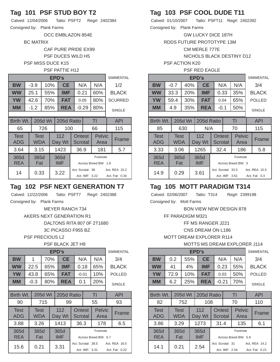## **Tag 101 PSF STUD BOY T2**

Calved: 12/04/2006 Tatto: PSFT2 Reg#: 2402384 Consigned by: Plank Farms

OCC EMBLAZON 854E

BC MATRIX

CAF PURE PRIDE EX99 PSF DUCES WILD H5

PSF MISS DUCE K15

### PSF PATTIE H12

| EPD's              |  |             |         |                                  |                    |                          |                |                                  |  | <b>SIMMENTAL</b>                |
|--------------------|--|-------------|---------|----------------------------------|--------------------|--------------------------|----------------|----------------------------------|--|---------------------------------|
| <b>BW</b>          |  | $-3.9$      |         | 10%                              | <b>CE</b>          |                          | N/A            | N/A                              |  | 1/2                             |
| <b>WW</b>          |  | 25.1        |         | 0.21<br><b>IMF</b><br>60%<br>55% |                    |                          |                |                                  |  | <b>BLACK</b>                    |
| <b>YW</b>          |  | 42.6        |         | 70%                              | <b>FAT</b>         |                          | 0.05           | 80%                              |  | <b>SCURRED</b>                  |
| <b>MM</b>          |  | $-1.2$      |         | 85%                              | <b>REA</b>         |                          | $-0.29$        | 80%                              |  | <b>SINGLE</b>                   |
|                    |  |             |         |                                  |                    |                          |                |                                  |  |                                 |
| Birth Wt.          |  |             | 205d Wt |                                  | 205d Ratio         |                          |                | ΤI                               |  | <b>API</b>                      |
| 65                 |  |             | 726     |                                  | 100                |                          |                | 66                               |  | 115                             |
| <b>Test</b><br>ADG |  | Test<br>WDA |         |                                  | 112<br>Day Wt      | <b>Ontest</b><br>Scrotal |                | <b>Pelvic</b><br>Area            |  | Frame                           |
| 3.64               |  | 3.15        |         |                                  | 1423               | 36.9                     |                | 181                              |  | 5.7                             |
| 365d<br><b>REA</b> |  | 365d<br>Fat |         |                                  | 365d<br><b>IMF</b> |                          |                | Footnote<br>Across Breed BW: 1.8 |  |                                 |
| 14                 |  | 0.33        |         |                                  | 3.22               | Act. Scrotal: 38         | Act. IMF: 3.22 |                                  |  | Act. REA 15.2<br>Act. Fat: 0.34 |

## **Tag 102 PSF NEXT GENERATION T7**

Calved: 12/22/2006 Tatto: PSFT7 Reg#: 2402388

Consigned by: Plank Farms

MEYER RANCH 734 AKERS NEXT GENERATION R1 DALTONS RITA 807 0F 2T1680 3C PICASSO F955 BZ

PSF PRECIOUS L2

#### PSF BLACK JET H9

|                    | EPD's |             |         |                           |               |                      |         |                    |                       |    | <b>SIMMENTAL</b> |  |
|--------------------|-------|-------------|---------|---------------------------|---------------|----------------------|---------|--------------------|-----------------------|----|------------------|--|
| <b>BW</b>          |       | 1           | 70%     |                           | <b>CE</b>     |                      | N/A     |                    | N/A                   |    | 3/4              |  |
| <b>WW</b>          |       | 22.5        |         | <b>IMF</b><br>65%<br>0.18 |               |                      |         |                    | 65%                   |    | <b>BLACK</b>     |  |
| <b>YW</b>          |       | 43.8        |         | 65%                       | <b>FAT</b>    |                      | $-0.01$ |                    | 10%                   |    | <b>POLLED</b>    |  |
| MМ                 |       | $-0.3$      |         | 80%                       | <b>REA</b>    |                      | 0.1     |                    | 20%                   |    | <b>SINGLE</b>    |  |
|                    |       |             |         |                           |               |                      |         |                    |                       |    |                  |  |
| Birth Wt.          |       |             | 205d Wt |                           | 205d Ratio    |                      |         |                    | TI                    |    | <b>API</b>       |  |
| 90                 |       |             | 715     |                           | 99            |                      |         |                    | 55                    | 93 |                  |  |
| <b>Test</b><br>ADG |       | Test<br>WDA |         |                           | 112<br>Day Wt |                      |         | Ontest<br>Scrotal  | <b>Pelvic</b><br>Area |    | Frame            |  |
| 3.88               |       | 3.26        |         |                           | 1413          |                      | 36.3    |                    | 178                   |    | 6.5              |  |
| 365d               |       | 365d        |         |                           | 365d          |                      |         |                    | Footnote              |    |                  |  |
| <b>REA</b>         |       | Fat         |         |                           | <b>IMF</b>    | Across Breed BW: 6.7 |         |                    |                       |    |                  |  |
| 15.6               |       | 0.21        |         |                           | 3.31          |                      |         | Act. Scrotal: 38.5 |                       |    | Act. REA 16.5    |  |
|                    |       |             |         |                           |               |                      |         | Act. IMF: 3.31     |                       |    | Act. Fat: 0.22   |  |

## **Tag 103 PSF COOL DUDE T11**

Calved: 01/10/2007 Tatto: PSFT11 Reg#: 2402392 Consigned by: Plank Farms

GW LUCKY DICE 187H

RDDS FUTURE PROTOTYPE 13M

CM MERLE 777E

NICHOLS BLACK DESTINY D12

PSF ACTION K20

#### PSF RED EAGLE

|                    |             |         |                    | EPD's         |                                                                        |  |        |                       |  | <b>SIMMENTAL</b> |
|--------------------|-------------|---------|--------------------|---------------|------------------------------------------------------------------------|--|--------|-----------------------|--|------------------|
| BW                 | $-0.7$      |         | 40%                | <b>CE</b>     |                                                                        |  | N/A    | N/A                   |  | 3/4              |
| <b>WW</b>          | 33.3        |         | 20%<br>0.33<br>IMF |               |                                                                        |  |        | 35%                   |  | <b>BLACK</b>     |
| <b>YW</b>          | 59.4        |         | 30%                | <b>FAT</b>    | 65%<br>0.04                                                            |  |        |                       |  | <b>POLLED</b>    |
| MМ                 | 4.9         |         | 35%                | <b>REA</b>    |                                                                        |  | $-0.1$ | 50%                   |  | <b>SINGLE</b>    |
|                    |             |         |                    |               |                                                                        |  |        |                       |  |                  |
| Birth Wt.          |             | 205d Wt |                    | 205d Ratio    |                                                                        |  |        | TI                    |  | <b>API</b>       |
| 85                 |             | 630     |                    | N/A           |                                                                        |  |        | 70                    |  | 115              |
| <b>Test</b><br>ADG | Test<br>WDA |         |                    | 112<br>Day Wt | Ontest<br>Scrotal                                                      |  |        | <b>Pelvic</b><br>Area |  | Frame            |
| 3.33               | 3.06        |         |                    | 1265          | 32.4                                                                   |  |        | 186                   |  | 5.8              |
| 365d               | 365d        |         |                    | 365d          | Footnote                                                               |  |        |                       |  |                  |
| <b>REA</b>         | Fat         |         |                    | <b>IMF</b>    | Across Breed BW: 5                                                     |  |        |                       |  |                  |
| 14.9               | 0.29        |         |                    | 3.61          | Act. Scrotal: 33.5<br>Act. REA 15.5<br>Act. IMF: 3.61<br>Act. Fat: 0.3 |  |        |                       |  |                  |
|                    |             |         |                    |               |                                                                        |  |        |                       |  |                  |

## **Tag 105 MOTT PARADIGM T314**

Calved: 02/06/2007 Tatto: T314 Reg#: 2399198

Consigned by: Mott Farms

BON VIEW NEW DESIGN 878

FF PARADIGM M321

FF MS RANGER J221

CNS DREAM ON L186

MOTT DREAM EXPLORER R114

MOTTS MS DREAM EXPLORER J114

|                    | EPD's |                    |                  |                                     |                    |                                                     |      |                          |                       |               |                |  |
|--------------------|-------|--------------------|------------------|-------------------------------------|--------------------|-----------------------------------------------------|------|--------------------------|-----------------------|---------------|----------------|--|
| <b>BW</b>          |       | 0.2                | 55%              |                                     | <b>CE</b>          |                                                     | N/A  |                          | N/A                   |               | 3/4            |  |
| <b>WW</b>          |       | 41                 | 4%<br><b>IMF</b> |                                     |                    | 0.23                                                |      | 55%                      |                       | <b>BLACK</b>  |                |  |
| <b>YW</b>          |       | 72.9               |                  | <b>FAT</b><br>50%<br>10%<br>0.03    |                    |                                                     |      |                          | <b>POLLED</b>         |               |                |  |
| MМ                 |       | 6.2                |                  | 70%<br>$-0.21$<br>25%<br><b>REA</b> |                    |                                                     |      |                          |                       | <b>SINGLE</b> |                |  |
|                    |       |                    |                  |                                     |                    |                                                     |      |                          |                       |               |                |  |
| Birth Wt.          |       |                    | 205d Wt          |                                     | 205d Ratio         |                                                     |      |                          | ΤI                    |               | <b>API</b>     |  |
| 82                 |       |                    | 752              |                                     | 108                |                                                     |      |                          | 70                    |               | 110            |  |
| <b>Test</b><br>ADG |       | <b>Test</b><br>WDA |                  |                                     | 112<br>Day Wt      |                                                     |      | <b>Ontest</b><br>Scrotal | <b>Pelvic</b><br>Area |               | Frame          |  |
| 3.86               |       | 3.29               |                  |                                     | 1273               |                                                     | 31.4 |                          | 135                   |               | 6.1            |  |
| 365d<br><b>REA</b> |       | 365d<br>Fat        |                  |                                     | 365d<br><b>IMF</b> | Footnote<br>Across Breed BW: 5.9                    |      |                          |                       |               |                |  |
| 14.1               |       | 0.21               |                  |                                     | 2.54               | Act. Scrotal: 31<br>Act. REA 14.2<br>Act. IMF: 2.54 |      |                          |                       |               | Act. Fat: 0.21 |  |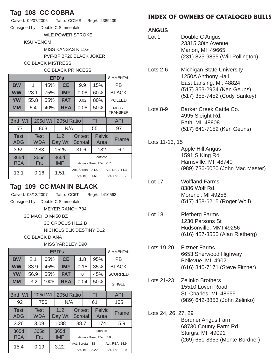## **Tag 108 CC COBRA**

| Calved: 09/07/2006 | Tatto: CC16S Reg#: 2389439 |
|--------------------|----------------------------|
|                    |                            |

Consigned by: Double C Simmentals

WLE POWER STROKE

KSU VENOM

MISS KANSAS K 11G

PVF-BF BF26 BLACK JOKER

CC BLACK MISTRESS

### CC BLACK PRINCESS

|                    |              | <b>SIMMENTAL</b> |                                                           |                                      |               |                    |      |                                 |                 |               |  |
|--------------------|--------------|------------------|-----------------------------------------------------------|--------------------------------------|---------------|--------------------|------|---------------------------------|-----------------|---------------|--|
| <b>BW</b>          |              | 1                | 45%                                                       |                                      | <b>CE</b>     | 9.9                |      | 15%                             |                 | РB            |  |
| <b>WW</b>          |              | 28.1             | 75%                                                       |                                      | IMF           | 0.08               |      | 60%                             | <b>BLACK</b>    |               |  |
| <b>YW</b>          |              | 55.8             | 55%                                                       |                                      | FAT           |                    | 0.02 | 80%                             |                 | <b>POLLED</b> |  |
| MМ                 |              | 6.4              | 40%                                                       |                                      |               | 0.05<br><b>REA</b> |      | 50%                             |                 | <b>EMBRYO</b> |  |
|                    |              |                  |                                                           |                                      |               |                    |      |                                 | <b>TRANSFER</b> |               |  |
| Birth Wt.          | 205d Wt      |                  |                                                           |                                      | 205d Ratio    |                    | TI   |                                 |                 | API           |  |
| 77                 |              | 863              |                                                           | N/A                                  |               |                    | 55   |                                 | 97              |               |  |
| <b>Test</b><br>ADG |              | Test<br>WDA      |                                                           |                                      | 112<br>Day Wt | Ontest<br>Scrotal  |      | Pelvic<br>Area                  |                 | Frame         |  |
| 3.59               |              | 2.83             |                                                           |                                      | 1525          | 31.6               |      | 182                             |                 | 6.1           |  |
| 365d<br><b>REA</b> |              |                  | 365d<br>365d<br><b>IMF</b><br>Fat<br>Across Breed BW: 6.7 |                                      | Footnote      |                    |      |                                 |                 |               |  |
| 13.1               | 0.16<br>1.51 |                  |                                                           | Act. Scrotal: 34.5<br>Act. IMF: 1.51 |               |                    |      | Act. REA 14.3<br>Act. Fat: 0.17 |                 |               |  |

## **Tag 109 CC MAN IN BLACK**

Calved: 03/13/2007 Tatto: CC6T Reg#: 2410563

Consigned by: Double C Simmentals

MEYER RANCH 734

3C MACHO M450 BZ

3C CROCUS H112 B

NICHOLS BLK DESTINY D12

CC BLACK DIANA

### MISS YARDLEY D90

| EPD's<br><b>SIMMENTAL</b> |  |             |      |                                                                       |               |      |      |                          |                                  |              |               |  |
|---------------------------|--|-------------|------|-----------------------------------------------------------------------|---------------|------|------|--------------------------|----------------------------------|--------------|---------------|--|
| <b>BW</b>                 |  | 2.1<br>65%  |      | <b>CE</b>                                                             |               |      | 1.8  |                          | 95%                              |              | РB            |  |
| <b>WW</b>                 |  | 33.9        |      | 45%                                                                   | IMF           | 0.15 |      | 35%                      |                                  | <b>BLACK</b> |               |  |
| <b>YW</b>                 |  | 56.9        |      | 55%                                                                   | <b>FAT</b>    | 0    |      | 45%                      | <b>SCURRED</b>                   |              |               |  |
| <b>MM</b>                 |  | $-3.2$      | 100% |                                                                       | <b>REA</b>    |      | 0.04 |                          | 50%                              |              | <b>SINGLE</b> |  |
|                           |  |             |      |                                                                       |               |      |      |                          |                                  |              |               |  |
| Birth Wt.<br>205d Wt      |  |             |      | 205d Ratio                                                            |               | TI   |      | <b>API</b>               |                                  |              |               |  |
| 92                        |  |             | 756  |                                                                       | N/A           |      |      |                          | 61                               |              | 105           |  |
| Test<br>ADG               |  | Test<br>WDA |      |                                                                       | 112<br>Day Wt |      |      | <b>Ontest</b><br>Scrotal | <b>Pelvic</b><br>Area            |              | Frame         |  |
| 3.26                      |  | 3.09        |      |                                                                       | 1088          |      | 38.7 |                          | 174                              |              | 5.9           |  |
| 365d<br><b>REA</b>        |  | 365d<br>Fat |      | 365d<br><b>IMF</b>                                                    |               |      |      |                          | Footnote<br>Across Breed BW: 7.8 |              |               |  |
| 0.19<br>15.4              |  | 3.22        |      | Act. Scrotal: 38<br>Act. REA 14.9<br>Act. IMF: 3.22<br>Act. Fat: 0.19 |               |      |      |                          |                                  |              |               |  |

## **INDEX OF OWNERS OF CATALOGED BULLS**

### **ANGUS**

| <b>ANGUS</b><br>Lot 1 | Double C Angus<br>23315 30th Avenue<br>Marion, MI 49665<br>(231) 825-9855 (Will Pollington)                                                     |
|-----------------------|-------------------------------------------------------------------------------------------------------------------------------------------------|
| Lots $2-6$            | <b>Michigan State University</b><br>1250A Anthony Hall<br>East Lansing, MI, 48824<br>(517) 353-2924 (Ken Geuns)<br>(517) 355-7452 (Cody Sankey) |
| Lots $8-9$            | Barker Creek Cattle Co.<br>4995 Sleight Rd.<br>Bath, MI 48808<br>(517) 641-7152 (Ken Geuns)                                                     |
| Lots 11-13, 15        | Apple Hill Angus<br>1591 S King Rd<br>Harrisville, MI 48740<br>(989) 736-6020 (John Mac Master)                                                 |
| Lot 17                | <b>Wolfland Farms</b><br>8386 Wolf Rd.<br>Morenci, MI 49256<br>(517) 458-6215 (Roger Wolf)                                                      |

- Lot 18 Rietberg Farms 1230 Parsons St Hudsonville, MMI 49256 (616) 457-3500 (Alan Rietberg)
- Lots 19-20 Fitzner Farms 6653 Sherwood Highway Bellevue, MI 49021 (616) 340-7171 (Steve Fitzner)
- Lots 21-23 Zelinko Brothers 15510 Loven Road St. Charles, MI 48655 (989) 642-8853 (John Zelinko)
- Lots 24, 26, 27, 29 Bordner Angus Farm 68730 County Farm Rd Sturgis, MI, 49091 (269) 651-8353 (Monte Bordner)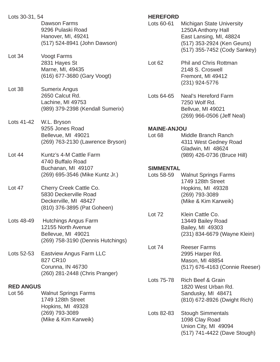| Lots 30-31, 54             | Dawson Farms<br>9296 Pulaski Road<br>Hanover, MI, 49241<br>(517) 524-8941 (John Dawson)                      | <b>HEREFORD</b><br>Lots 60-61  | Ľ |
|----------------------------|--------------------------------------------------------------------------------------------------------------|--------------------------------|---|
| Lot 34                     | <b>Voogt Farms</b><br>2831 Hayes St<br>Marne, MI, 49435<br>(616) 677-3680 (Gary Voogt)                       | Lot <sub>62</sub>              | F |
| Lot 38                     | <b>Sumerix Angus</b><br>2650 Calcut Rd.<br>Lachine, MI 49753<br>(989) 379-2398 (Kendall Sumerix)             | Lots 64-65                     |   |
| Lots 41-42                 | W.L. Bryson<br>9255 Jones Road<br>Bellevue, MI 49021<br>(269) 763-2130 (Lawrence Bryson)                     | <b>MAINE-ANJO</b><br>Lot 68    |   |
| Lot $44$                   | Kuntz's 4-M Cattle Farm<br>4740 Buffalo Road<br>Buchanan, MI 49107<br>(269) 695-3546 (Mike Kuntz Jr.)        | <b>SIMMENTAL</b><br>Lots 58-59 |   |
| Lot $47$                   | Cherry Creek Cattle Co.<br>5830 Deckerville Road<br>Deckerville, MI 48427<br>(810) 376-3895 (Pat Goheen)     |                                |   |
| Lots 48-49                 | <b>Hutchings Angus Farm</b><br>12155 North Avenue<br>Bellevue, MI 49021<br>(269) 758-3190 (Dennis Hutchings) | Lot 72                         |   |
| Lots 52-53                 | <b>Eastview Angus Farm LLC</b><br>827 CR10<br>Corunna, IN 46730<br>(260) 281-2448 (Chris Pranger)            | Lot 74                         | Ņ |
| <b>RED ANGUS</b><br>Lot 56 | <b>Walnut Springs Farms</b>                                                                                  | Lots 75-78                     | F |
|                            | 1749 128th Street<br>Hopkins, MI 49328<br>(269) 793-3089<br>(Mike & Kim Karweik)                             | Lots 82-83                     |   |

Michigan State University 250A Anthony Hall East Lansing, MI, 48824 (517) 353-2924 (Ken Geuns) (517) 355-7452 (Cody Sankey)

Phil and Chris Rottman 2148 S. Croswell Fremont, MI 49412 (231) 924-5776

Veal's Hereford Farm 7250 Wolf Rd. Bellvue, MI 49021 (269) 966-0506 (Jeff Neal)

### **MAINE-ANJOU**

- Middle Branch Ranch 4311 West Gedney Road Gladwin, MI 48624 (989) 426-0736 (Bruce Hill)
- Valnut Springs Farms 1749 128th Street Hopkins, MI 49328 (269) 793-3089 (Mike & Kim Karweik)
- Klein Cattle Co. 13449 Bailey Road Bailey, MI 49303 (231) 834-6679 (Wayne Klein)
- Reeser Farms 2995 Harper Rd. Mason, MI 48854 (517) 676-4163 (Connie Reeser)
- Rich Beef & Grain 820 West Urban Rd. Sandusky, MI 48471 (810) 672-8926 (Dwight Rich)
- **Stough Simmentals**  1098 Clay Road Union City, MI 49094 (517) 741-4422 (Dave Stough)